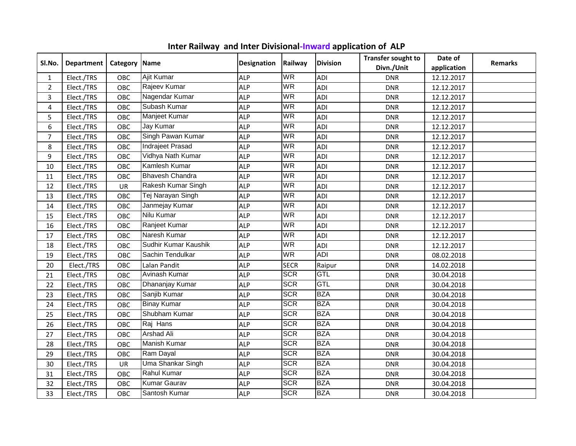|                |                   |               |                        |                    |             |                 | <b>Transfer sought to</b> | Date of     |                |
|----------------|-------------------|---------------|------------------------|--------------------|-------------|-----------------|---------------------------|-------------|----------------|
| SI.No.         | <b>Department</b> | Category Name |                        | <b>Designation</b> | Railway     | <b>Division</b> | Divn./Unit                | application | <b>Remarks</b> |
| $\mathbf{1}$   | Elect./TRS        | OBC           | Ajit Kumar             | <b>ALP</b>         | <b>WR</b>   | <b>ADI</b>      | <b>DNR</b>                | 12.12.2017  |                |
| $\overline{2}$ | Elect./TRS        | OBC           | Rajeev Kumar           | <b>ALP</b>         | <b>WR</b>   | <b>ADI</b>      | <b>DNR</b>                | 12.12.2017  |                |
| 3              | Elect./TRS        | OBC           | Nagendar Kumar         | <b>ALP</b>         | <b>WR</b>   | <b>ADI</b>      | <b>DNR</b>                | 12.12.2017  |                |
| 4              | Elect./TRS        | OBC           | Subash Kumar           | <b>ALP</b>         | WR          | <b>ADI</b>      | <b>DNR</b>                | 12.12.2017  |                |
| 5              | Elect./TRS        | OBC           | Manjeet Kumar          | <b>ALP</b>         | WR          | ADI             | <b>DNR</b>                | 12.12.2017  |                |
| 6              | Elect./TRS        | OBC           | Jay Kumar              | <b>ALP</b>         | <b>WR</b>   | ADI             | <b>DNR</b>                | 12.12.2017  |                |
| 7              | Elect./TRS        | OBC           | Singh Pawan Kumar      | <b>ALP</b>         | <b>WR</b>   | <b>ADI</b>      | <b>DNR</b>                | 12.12.2017  |                |
| 8              | Elect./TRS        | OBC           | Indrajeet Prasad       | <b>ALP</b>         | WR          | <b>ADI</b>      | <b>DNR</b>                | 12.12.2017  |                |
| 9              | Elect./TRS        | OBC           | Vidhya Nath Kumar      | <b>ALP</b>         | WR          | <b>ADI</b>      | <b>DNR</b>                | 12.12.2017  |                |
| 10             | Elect./TRS        | OBC           | Kamlesh Kumar          | <b>ALP</b>         | <b>WR</b>   | <b>ADI</b>      | <b>DNR</b>                | 12.12.2017  |                |
| 11             | Elect./TRS        | OBC           | <b>Bhavesh Chandra</b> | <b>ALP</b>         | <b>WR</b>   | <b>ADI</b>      | <b>DNR</b>                | 12.12.2017  |                |
| 12             | Elect./TRS        | UR            | Rakesh Kumar Singh     | <b>ALP</b>         | <b>WR</b>   | <b>ADI</b>      | <b>DNR</b>                | 12.12.2017  |                |
| 13             | Elect./TRS        | OBC           | Tej Narayan Singh      | <b>ALP</b>         | <b>WR</b>   | <b>ADI</b>      | <b>DNR</b>                | 12.12.2017  |                |
| 14             | Elect./TRS        | OBC           | Janmejay Kumar         | <b>ALP</b>         | WR          | <b>ADI</b>      | <b>DNR</b>                | 12.12.2017  |                |
| 15             | Elect./TRS        | OBC           | Nilu Kumar             | <b>ALP</b>         | <b>WR</b>   | <b>ADI</b>      | <b>DNR</b>                | 12.12.2017  |                |
| 16             | Elect./TRS        | OBC           | Ranjeet Kumar          | <b>ALP</b>         | <b>WR</b>   | <b>ADI</b>      | <b>DNR</b>                | 12.12.2017  |                |
| 17             | Elect./TRS        | OBC           | Naresh Kumar           | <b>ALP</b>         | <b>WR</b>   | <b>ADI</b>      | <b>DNR</b>                | 12.12.2017  |                |
| 18             | Elect./TRS        | OBC           | Sudhir Kumar Kaushik   | <b>ALP</b>         | <b>WR</b>   | <b>ADI</b>      | <b>DNR</b>                | 12.12.2017  |                |
| 19             | Elect./TRS        | OBC           | Sachin Tendulkar       | <b>ALP</b>         | <b>WR</b>   | <b>ADI</b>      | <b>DNR</b>                | 08.02.2018  |                |
| 20             | Elect./TRS        | OBC           | Lalan Pandit           | <b>ALP</b>         | <b>SECR</b> | Raipur          | <b>DNR</b>                | 14.02.2018  |                |
| 21             | Elect./TRS        | OBC           | Avinash Kumar          | <b>ALP</b>         | <b>SCR</b>  | GTL             | <b>DNR</b>                | 30.04.2018  |                |
| 22             | Elect./TRS        | OBC           | Dhananjay Kumar        | <b>ALP</b>         | <b>SCR</b>  | GTL             | <b>DNR</b>                | 30.04.2018  |                |
| 23             | Elect./TRS        | OBC           | Sanjib Kumar           | <b>ALP</b>         | <b>SCR</b>  | <b>BZA</b>      | <b>DNR</b>                | 30.04.2018  |                |
| 24             | Elect./TRS        | OBC           | <b>Binay Kumar</b>     | <b>ALP</b>         | <b>SCR</b>  | <b>BZA</b>      | <b>DNR</b>                | 30.04.2018  |                |
| 25             | Elect./TRS        | OBC           | Shubham Kumar          | <b>ALP</b>         | <b>SCR</b>  | <b>BZA</b>      | <b>DNR</b>                | 30.04.2018  |                |
| 26             | Elect./TRS        | OBC           | Raj Hans               | <b>ALP</b>         | <b>SCR</b>  | <b>BZA</b>      | <b>DNR</b>                | 30.04.2018  |                |
| 27             | Elect./TRS        | OBC           | <b>Arshad Ali</b>      | <b>ALP</b>         | <b>SCR</b>  | <b>BZA</b>      | <b>DNR</b>                | 30.04.2018  |                |
| 28             | Elect./TRS        | OBC           | Manish Kumar           | <b>ALP</b>         | <b>SCR</b>  | <b>BZA</b>      | <b>DNR</b>                | 30.04.2018  |                |
| 29             | Elect./TRS        | OBC           | Ram Dayal              | <b>ALP</b>         | <b>SCR</b>  | <b>BZA</b>      | <b>DNR</b>                | 30.04.2018  |                |
| 30             | Elect./TRS        | UR            | Uma Shankar Singh      | <b>ALP</b>         | <b>SCR</b>  | <b>BZA</b>      | <b>DNR</b>                | 30.04.2018  |                |
| 31             | Elect./TRS        | OBC           | <b>Rahul Kumar</b>     | <b>ALP</b>         | <b>SCR</b>  | <b>BZA</b>      | <b>DNR</b>                | 30.04.2018  |                |
| 32             | Elect./TRS        | OBC           | <b>Kumar Gaurav</b>    | <b>ALP</b>         | <b>SCR</b>  | <b>BZA</b>      | <b>DNR</b>                | 30.04.2018  |                |
| 33             | Elect./TRS        | <b>OBC</b>    | Santosh Kumar          | <b>ALP</b>         | <b>SCR</b>  | <b>BZA</b>      | <b>DNR</b>                | 30.04.2018  |                |

**Inter Railway and Inter Divisional-Inward application of ALP**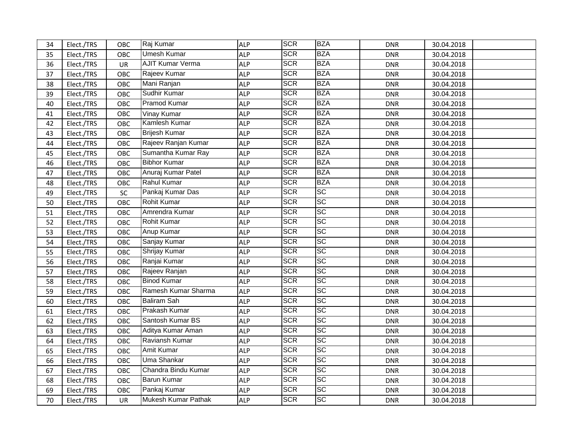| 34 | Elect./TRS | OBC       | Raj Kumar            | <b>ALP</b> | <b>SCR</b> | <b>BZA</b>        | <b>DNR</b> | 30.04.2018 |  |
|----|------------|-----------|----------------------|------------|------------|-------------------|------------|------------|--|
| 35 | Elect./TRS | OBC       | <b>Umesh Kumar</b>   | <b>ALP</b> | <b>SCR</b> | <b>BZA</b>        | <b>DNR</b> | 30.04.2018 |  |
| 36 | Elect./TRS | <b>UR</b> | AJIT Kumar Verma     | <b>ALP</b> | <b>SCR</b> | <b>BZA</b>        | <b>DNR</b> | 30.04.2018 |  |
| 37 | Elect./TRS | OBC       | Rajeev Kumar         | <b>ALP</b> | <b>SCR</b> | <b>BZA</b>        | <b>DNR</b> | 30.04.2018 |  |
| 38 | Elect./TRS | OBC       | Mani Ranjan          | <b>ALP</b> | <b>SCR</b> | <b>BZA</b>        | <b>DNR</b> | 30.04.2018 |  |
| 39 | Elect./TRS | OBC       | Sudhir Kumar         | <b>ALP</b> | <b>SCR</b> | <b>BZA</b>        | <b>DNR</b> | 30.04.2018 |  |
| 40 | Elect./TRS | OBC       | Pramod Kumar         | <b>ALP</b> | <b>SCR</b> | <b>BZA</b>        | <b>DNR</b> | 30.04.2018 |  |
| 41 | Elect./TRS | OBC       | Vinay Kumar          | <b>ALP</b> | <b>SCR</b> | <b>BZA</b>        | <b>DNR</b> | 30.04.2018 |  |
| 42 | Elect./TRS | OBC       | Kamlesh Kumar        | <b>ALP</b> | <b>SCR</b> | <b>BZA</b>        | <b>DNR</b> | 30.04.2018 |  |
| 43 | Elect./TRS | OBC       | <b>Brijesh Kumar</b> | <b>ALP</b> | <b>SCR</b> | <b>BZA</b>        | <b>DNR</b> | 30.04.2018 |  |
| 44 | Elect./TRS | OBC       | Rajeev Ranjan Kumar  | <b>ALP</b> | <b>SCR</b> | <b>BZA</b>        | <b>DNR</b> | 30.04.2018 |  |
| 45 | Elect./TRS | OBC       | Sumantha Kumar Ray   | <b>ALP</b> | <b>SCR</b> | <b>BZA</b>        | <b>DNR</b> | 30.04.2018 |  |
| 46 | Elect./TRS | OBC       | <b>Bibhor Kumar</b>  | <b>ALP</b> | <b>SCR</b> | <b>BZA</b>        | <b>DNR</b> | 30.04.2018 |  |
| 47 | Elect./TRS | OBC       | Anuraj Kumar Patel   | <b>ALP</b> | <b>SCR</b> | <b>BZA</b>        | <b>DNR</b> | 30.04.2018 |  |
| 48 | Elect./TRS | OBC       | Rahul Kumar          | <b>ALP</b> | <b>SCR</b> | <b>BZA</b>        | <b>DNR</b> | 30.04.2018 |  |
| 49 | Elect./TRS | SC        | Pankaj Kumar Das     | <b>ALP</b> | <b>SCR</b> | <b>SC</b>         | <b>DNR</b> | 30.04.2018 |  |
| 50 | Elect./TRS | OBC       | <b>Rohit Kumar</b>   | <b>ALP</b> | <b>SCR</b> | <b>SC</b>         | <b>DNR</b> | 30.04.2018 |  |
| 51 | Elect./TRS | OBC       | Amrendra Kumar       | <b>ALP</b> | <b>SCR</b> | <b>SC</b>         | <b>DNR</b> | 30.04.2018 |  |
| 52 | Elect./TRS | OBC       | Rohit Kumar          | <b>ALP</b> | <b>SCR</b> | <b>SC</b>         | <b>DNR</b> | 30.04.2018 |  |
| 53 | Elect./TRS | OBC       | Anup Kumar           | <b>ALP</b> | <b>SCR</b> | <b>SC</b>         | <b>DNR</b> | 30.04.2018 |  |
| 54 | Elect./TRS | OBC       | Sanjay Kumar         | <b>ALP</b> | <b>SCR</b> | <b>SC</b>         | <b>DNR</b> | 30.04.2018 |  |
| 55 | Elect./TRS | OBC       | Shrijay Kumar        | <b>ALP</b> | <b>SCR</b> | $ \overline{SC} $ | <b>DNR</b> | 30.04.2018 |  |
| 56 | Elect./TRS | OBC       | Ranjai Kumar         | <b>ALP</b> | <b>SCR</b> | <b>SC</b>         | <b>DNR</b> | 30.04.2018 |  |
| 57 | Elect./TRS | OBC       | Rajeev Ranjan        | <b>ALP</b> | <b>SCR</b> | <b>SC</b>         | <b>DNR</b> | 30.04.2018 |  |
| 58 | Elect./TRS | OBC       | <b>Binod Kumar</b>   | <b>ALP</b> | <b>SCR</b> | <b>SC</b>         | <b>DNR</b> | 30.04.2018 |  |
| 59 | Elect./TRS | OBC       | Ramesh Kumar Sharma  | <b>ALP</b> | <b>SCR</b> | $ \overline{SC} $ | <b>DNR</b> | 30.04.2018 |  |
| 60 | Elect./TRS | OBC       | <b>Baliram Sah</b>   | <b>ALP</b> | <b>SCR</b> | $ \mathrm{SC} $   | <b>DNR</b> | 30.04.2018 |  |
| 61 | Elect./TRS | OBC       | Prakash Kumar        | <b>ALP</b> | <b>SCR</b> | $ \overline{SC} $ | <b>DNR</b> | 30.04.2018 |  |
| 62 | Elect./TRS | OBC       | Santosh Kumar BS     | <b>ALP</b> | <b>SCR</b> | <b>SC</b>         | <b>DNR</b> | 30.04.2018 |  |
| 63 | Elect./TRS | OBC       | Aditya Kumar Aman    | <b>ALP</b> | <b>SCR</b> | <b>SC</b>         | <b>DNR</b> | 30.04.2018 |  |
| 64 | Elect./TRS | OBC       | Raviansh Kumar       | <b>ALP</b> | <b>SCR</b> | <b>SC</b>         | <b>DNR</b> | 30.04.2018 |  |
| 65 | Elect./TRS | OBC       | Amit Kumar           | <b>ALP</b> | <b>SCR</b> | $ \overline{SC} $ | <b>DNR</b> | 30.04.2018 |  |
| 66 | Elect./TRS | OBC       | Uma Shankar          | <b>ALP</b> | <b>SCR</b> | $ \overline{SC} $ | <b>DNR</b> | 30.04.2018 |  |
| 67 | Elect./TRS | OBC       | Chandra Bindu Kumar  | <b>ALP</b> | <b>SCR</b> | <b>SC</b>         | <b>DNR</b> | 30.04.2018 |  |
| 68 | Elect./TRS | OBC       | <b>Barun Kumar</b>   | <b>ALP</b> | <b>SCR</b> | <b>SC</b>         | <b>DNR</b> | 30.04.2018 |  |
| 69 | Elect./TRS | OBC       | Pankaj Kumar         | <b>ALP</b> | <b>SCR</b> | <b>SC</b>         | <b>DNR</b> | 30.04.2018 |  |
| 70 | Elect./TRS | <b>UR</b> | Mukesh Kumar Pathak  | <b>ALP</b> | <b>SCR</b> | <b>SC</b>         | <b>DNR</b> | 30.04.2018 |  |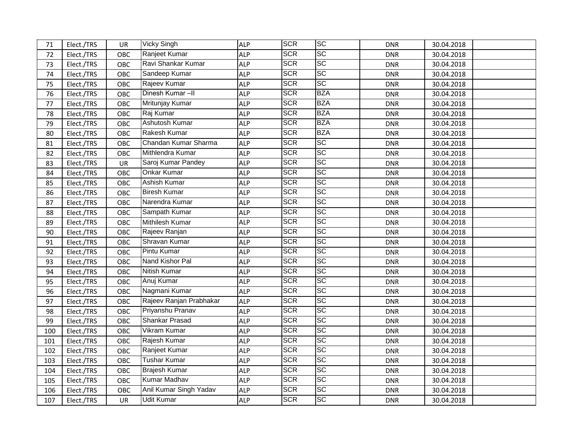| 71  | Elect./TRS | UR        | <b>Vicky Singh</b>      | <b>ALP</b> | <b>SCR</b> | <b>SC</b>         | <b>DNR</b> | 30.04.2018 |  |
|-----|------------|-----------|-------------------------|------------|------------|-------------------|------------|------------|--|
| 72  | Elect./TRS | OBC       | Ranjeet Kumar           | <b>ALP</b> | <b>SCR</b> | <b>SC</b>         | <b>DNR</b> | 30.04.2018 |  |
| 73  | Elect./TRS | OBC       | Ravi Shankar Kumar      | <b>ALP</b> | <b>SCR</b> | <b>SC</b>         | <b>DNR</b> | 30.04.2018 |  |
| 74  | Elect./TRS | OBC       | Sandeep Kumar           | <b>ALP</b> | <b>SCR</b> | <b>SC</b>         | <b>DNR</b> | 30.04.2018 |  |
| 75  | Elect./TRS | OBC       | Rajeev Kumar            | <b>ALP</b> | <b>SCR</b> | <b>SC</b>         | <b>DNR</b> | 30.04.2018 |  |
| 76  | Elect./TRS | OBC       | Dinesh Kumar-II         | <b>ALP</b> | <b>SCR</b> | <b>BZA</b>        | <b>DNR</b> | 30.04.2018 |  |
| 77  | Elect./TRS | OBC       | Mritunjay Kumar         | <b>ALP</b> | <b>SCR</b> | <b>BZA</b>        | <b>DNR</b> | 30.04.2018 |  |
| 78  | Elect./TRS | OBC       | Raj Kumar               | <b>ALP</b> | <b>SCR</b> | <b>BZA</b>        | <b>DNR</b> | 30.04.2018 |  |
| 79  | Elect./TRS | OBC       | Ashutosh Kumar          | <b>ALP</b> | <b>SCR</b> | <b>BZA</b>        | <b>DNR</b> | 30.04.2018 |  |
| 80  | Elect./TRS | OBC       | Rakesh Kumar            | <b>ALP</b> | <b>SCR</b> | <b>BZA</b>        | <b>DNR</b> | 30.04.2018 |  |
| 81  | Elect./TRS | OBC       | Chandan Kumar Sharma    | <b>ALP</b> | <b>SCR</b> | <b>SC</b>         | <b>DNR</b> | 30.04.2018 |  |
| 82  | Elect./TRS | OBC       | Mithlendra Kumar        | <b>ALP</b> | <b>SCR</b> | <b>SC</b>         | <b>DNR</b> | 30.04.2018 |  |
| 83  | Elect./TRS | UR        | Saroj Kumar Pandey      | <b>ALP</b> | <b>SCR</b> | <b>SC</b>         | <b>DNR</b> | 30.04.2018 |  |
| 84  | Elect./TRS | OBC       | Onkar Kumar             | <b>ALP</b> | <b>SCR</b> | <b>SC</b>         | <b>DNR</b> | 30.04.2018 |  |
| 85  | Elect./TRS | OBC       | Ashish Kumar            | <b>ALP</b> | <b>SCR</b> | <b>SC</b>         | <b>DNR</b> | 30.04.2018 |  |
| 86  | Elect./TRS | OBC       | <b>Biresh Kumar</b>     | <b>ALP</b> | <b>SCR</b> | <b>SC</b>         | <b>DNR</b> | 30.04.2018 |  |
| 87  | Elect./TRS | OBC       | Narendra Kumar          | <b>ALP</b> | <b>SCR</b> | <b>SC</b>         | <b>DNR</b> | 30.04.2018 |  |
| 88  | Elect./TRS | OBC       | Sampath Kumar           | <b>ALP</b> | <b>SCR</b> | <b>SC</b>         | <b>DNR</b> | 30.04.2018 |  |
| 89  | Elect./TRS | OBC       | Mithilesh Kumar         | <b>ALP</b> | <b>SCR</b> | $ \overline{SC} $ | <b>DNR</b> | 30.04.2018 |  |
| 90  | Elect./TRS | OBC       | Rajeev Ranjan           | <b>ALP</b> | <b>SCR</b> | <b>SC</b>         | <b>DNR</b> | 30.04.2018 |  |
| 91  | Elect./TRS | OBC       | Shravan Kumar           | <b>ALP</b> | <b>SCR</b> | $ \overline{SC} $ | <b>DNR</b> | 30.04.2018 |  |
| 92  | Elect./TRS | OBC       | Pintu Kumar             | <b>ALP</b> | <b>SCR</b> | <b>SC</b>         | <b>DNR</b> | 30.04.2018 |  |
| 93  | Elect./TRS | OBC       | Nand Kishor Pal         | <b>ALP</b> | <b>SCR</b> | <b>SC</b>         | <b>DNR</b> | 30.04.2018 |  |
| 94  | Elect./TRS | OBC       | <b>Nitish Kumar</b>     | <b>ALP</b> | <b>SCR</b> | <b>SC</b>         | <b>DNR</b> | 30.04.2018 |  |
| 95  | Elect./TRS | OBC       | Anuj Kumar              | <b>ALP</b> | <b>SCR</b> | <b>SC</b>         | <b>DNR</b> | 30.04.2018 |  |
| 96  | Elect./TRS | OBC       | Nagmani Kumar           | <b>ALP</b> | <b>SCR</b> | <b>SC</b>         | <b>DNR</b> | 30.04.2018 |  |
| 97  | Elect./TRS | OBC       | Rajeev Ranjan Prabhakar | <b>ALP</b> | <b>SCR</b> | <b>SC</b>         | <b>DNR</b> | 30.04.2018 |  |
| 98  | Elect./TRS | OBC       | Priyanshu Pranav        | <b>ALP</b> | <b>SCR</b> | <b>SC</b>         | <b>DNR</b> | 30.04.2018 |  |
| 99  | Elect./TRS | OBC       | <b>Shankar Prasad</b>   | <b>ALP</b> | <b>SCR</b> | <b>SC</b>         | <b>DNR</b> | 30.04.2018 |  |
| 100 | Elect./TRS | OBC       | Vikram Kumar            | <b>ALP</b> | <b>SCR</b> | <b>SC</b>         | <b>DNR</b> | 30.04.2018 |  |
| 101 | Elect./TRS | OBC       | Rajesh Kumar            | <b>ALP</b> | <b>SCR</b> | <b>SC</b>         | <b>DNR</b> | 30.04.2018 |  |
| 102 | Elect./TRS | OBC       | Ranjeet Kumar           | <b>ALP</b> | <b>SCR</b> | <b>SC</b>         | <b>DNR</b> | 30.04.2018 |  |
| 103 | Elect./TRS | OBC       | <b>Tushar Kumar</b>     | <b>ALP</b> | <b>SCR</b> | <b>SC</b>         | <b>DNR</b> | 30.04.2018 |  |
| 104 | Elect./TRS | OBC       | <b>Brajesh Kumar</b>    | <b>ALP</b> | <b>SCR</b> | <b>SC</b>         | <b>DNR</b> | 30.04.2018 |  |
| 105 | Elect./TRS | OBC       | <b>Kumar Madhav</b>     | <b>ALP</b> | <b>SCR</b> | <b>SC</b>         | <b>DNR</b> | 30.04.2018 |  |
| 106 | Elect./TRS | OBC       | Anil Kumar Singh Yadav  | <b>ALP</b> | <b>SCR</b> | <b>SC</b>         | <b>DNR</b> | 30.04.2018 |  |
| 107 | Elect./TRS | <b>UR</b> | <b>Udit Kumar</b>       | <b>ALP</b> | <b>SCR</b> | <b>SC</b>         | <b>DNR</b> | 30.04.2018 |  |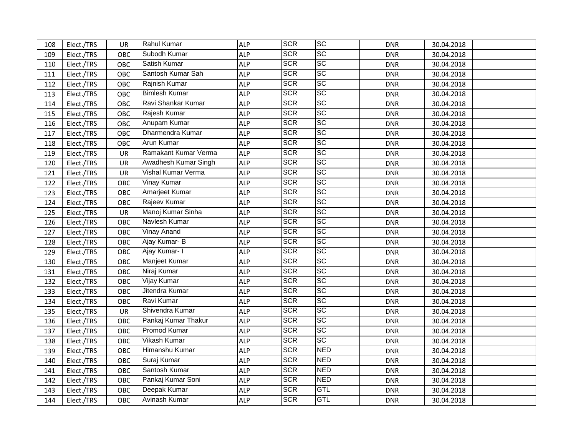| 108 | Elect./TRS | UR        | <b>Rahul Kumar</b>   | <b>ALP</b> | <b>SCR</b> | <b>SC</b>  | <b>DNR</b> | 30.04.2018 |  |
|-----|------------|-----------|----------------------|------------|------------|------------|------------|------------|--|
| 109 | Elect./TRS | OBC       | Subodh Kumar         | <b>ALP</b> | <b>SCR</b> | <b>SC</b>  | <b>DNR</b> | 30.04.2018 |  |
| 110 | Elect./TRS | OBC       | Satish Kumar         | <b>ALP</b> | <b>SCR</b> | <b>SC</b>  | <b>DNR</b> | 30.04.2018 |  |
| 111 | Elect./TRS | OBC       | Santosh Kumar Sah    | <b>ALP</b> | <b>SCR</b> | <b>SC</b>  | <b>DNR</b> | 30.04.2018 |  |
| 112 | Elect./TRS | OBC       | Rajnish Kumar        | <b>ALP</b> | <b>SCR</b> | <b>SC</b>  | <b>DNR</b> | 30.04.2018 |  |
| 113 | Elect./TRS | OBC       | <b>Bimlesh Kumar</b> | <b>ALP</b> | <b>SCR</b> | <b>SC</b>  | <b>DNR</b> | 30.04.2018 |  |
| 114 | Elect./TRS | OBC       | Ravi Shankar Kumar   | <b>ALP</b> | <b>SCR</b> | <b>SC</b>  | <b>DNR</b> | 30.04.2018 |  |
| 115 | Elect./TRS | OBC       | Rajesh Kumar         | <b>ALP</b> | <b>SCR</b> | <b>SC</b>  | <b>DNR</b> | 30.04.2018 |  |
| 116 | Elect./TRS | OBC       | Anupam Kumar         | <b>ALP</b> | <b>SCR</b> | <b>SC</b>  | <b>DNR</b> | 30.04.2018 |  |
| 117 | Elect./TRS | OBC       | Dharmendra Kumar     | <b>ALP</b> | <b>SCR</b> | <b>SC</b>  | <b>DNR</b> | 30.04.2018 |  |
| 118 | Elect./TRS | OBC       | <b>Arun Kumar</b>    | <b>ALP</b> | <b>SCR</b> | <b>SC</b>  | <b>DNR</b> | 30.04.2018 |  |
| 119 | Elect./TRS | UR        | Ramakant Kumar Verma | <b>ALP</b> | <b>SCR</b> | <b>SC</b>  | <b>DNR</b> | 30.04.2018 |  |
| 120 | Elect./TRS | <b>UR</b> | Awadhesh Kumar Singh | <b>ALP</b> | <b>SCR</b> | <b>SC</b>  | <b>DNR</b> | 30.04.2018 |  |
| 121 | Elect./TRS | UR        | Vishal Kumar Verma   | <b>ALP</b> | <b>SCR</b> | <b>SC</b>  | <b>DNR</b> | 30.04.2018 |  |
| 122 | Elect./TRS | OBC       | Vinay Kumar          | <b>ALP</b> | <b>SCR</b> | <b>SC</b>  | <b>DNR</b> | 30.04.2018 |  |
| 123 | Elect./TRS | OBC       | Amarjeet Kumar       | <b>ALP</b> | <b>SCR</b> | <b>SC</b>  | <b>DNR</b> | 30.04.2018 |  |
| 124 | Elect./TRS | OBC       | Rajeev Kumar         | <b>ALP</b> | <b>SCR</b> | <b>SC</b>  | <b>DNR</b> | 30.04.2018 |  |
| 125 | Elect./TRS | UR        | Manoj Kumar Sinha    | <b>ALP</b> | <b>SCR</b> | <b>SC</b>  | <b>DNR</b> | 30.04.2018 |  |
| 126 | Elect./TRS | OBC       | Navlesh Kumar        | <b>ALP</b> | <b>SCR</b> | <b>SC</b>  | <b>DNR</b> | 30.04.2018 |  |
| 127 | Elect./TRS | OBC       | Vinay Anand          | <b>ALP</b> | <b>SCR</b> | <b>SC</b>  | <b>DNR</b> | 30.04.2018 |  |
| 128 | Elect./TRS | OBC       | Ajay Kumar- B        | <b>ALP</b> | <b>SCR</b> | <b>SC</b>  | <b>DNR</b> | 30.04.2018 |  |
| 129 | Elect./TRS | OBC       | Ajay Kumar- I        | <b>ALP</b> | <b>SCR</b> | <b>SC</b>  | <b>DNR</b> | 30.04.2018 |  |
| 130 | Elect./TRS | OBC       | Manjeet Kumar        | <b>ALP</b> | <b>SCR</b> | <b>SC</b>  | <b>DNR</b> | 30.04.2018 |  |
| 131 | Elect./TRS | OBC       | Niraj Kumar          | <b>ALP</b> | <b>SCR</b> | <b>SC</b>  | <b>DNR</b> | 30.04.2018 |  |
| 132 | Elect./TRS | OBC       | Vijay Kumar          | <b>ALP</b> | <b>SCR</b> | <b>SC</b>  | <b>DNR</b> | 30.04.2018 |  |
| 133 | Elect./TRS | OBC       | Jitendra Kumar       | <b>ALP</b> | <b>SCR</b> | <b>SC</b>  | <b>DNR</b> | 30.04.2018 |  |
| 134 | Elect./TRS | OBC       | Ravi Kumar           | <b>ALP</b> | <b>SCR</b> | <b>SC</b>  | <b>DNR</b> | 30.04.2018 |  |
| 135 | Elect./TRS | UR        | Shivendra Kumar      | <b>ALP</b> | <b>SCR</b> | <b>SC</b>  | <b>DNR</b> | 30.04.2018 |  |
| 136 | Elect./TRS | OBC       | Pankaj Kumar Thakur  | <b>ALP</b> | <b>SCR</b> | <b>SC</b>  | <b>DNR</b> | 30.04.2018 |  |
| 137 | Elect./TRS | OBC       | Promod Kumar         | <b>ALP</b> | <b>SCR</b> | <b>SC</b>  | <b>DNR</b> | 30.04.2018 |  |
| 138 | Elect./TRS | OBC       | Vikash Kumar         | <b>ALP</b> | <b>SCR</b> | <b>SC</b>  | <b>DNR</b> | 30.04.2018 |  |
| 139 | Elect./TRS | OBC       | Himanshu Kumar       | <b>ALP</b> | <b>SCR</b> | <b>NED</b> | <b>DNR</b> | 30.04.2018 |  |
| 140 | Elect./TRS | OBC       | Suraj Kumar          | <b>ALP</b> | <b>SCR</b> | <b>NED</b> | <b>DNR</b> | 30.04.2018 |  |
| 141 | Elect./TRS | OBC       | Santosh Kumar        | <b>ALP</b> | <b>SCR</b> | <b>NED</b> | <b>DNR</b> | 30.04.2018 |  |
| 142 | Elect./TRS | OBC       | Pankaj Kumar Soni    | <b>ALP</b> | <b>SCR</b> | <b>NED</b> | <b>DNR</b> | 30.04.2018 |  |
| 143 | Elect./TRS | OBC       | Deepak Kumar         | <b>ALP</b> | <b>SCR</b> | <b>GTL</b> | <b>DNR</b> | 30.04.2018 |  |
| 144 | Elect./TRS | OBC       | Avinash Kumar        | <b>ALP</b> | <b>SCR</b> | GTL        | <b>DNR</b> | 30.04.2018 |  |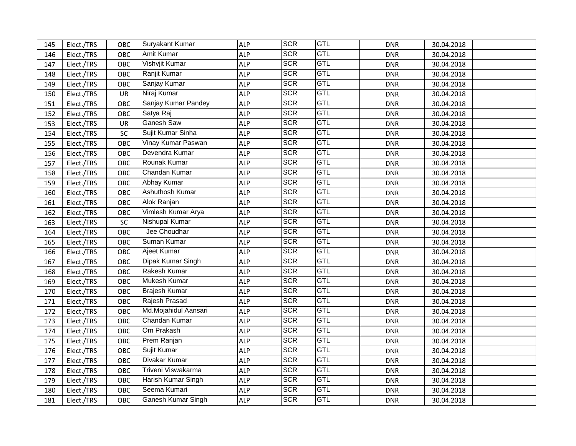| 145 | Elect./TRS | OBC        | Suryakant Kumar           | <b>ALP</b> | <b>SCR</b> | <b>GTL</b> | <b>DNR</b> | 30.04.2018 |  |
|-----|------------|------------|---------------------------|------------|------------|------------|------------|------------|--|
| 146 | Elect./TRS | OBC        | Amit Kumar                | <b>ALP</b> | <b>SCR</b> | GTL        | <b>DNR</b> | 30.04.2018 |  |
| 147 | Elect./TRS | OBC        | Vishvjit Kumar            | <b>ALP</b> | <b>SCR</b> | <b>GTL</b> | <b>DNR</b> | 30.04.2018 |  |
| 148 | Elect./TRS | OBC        | Ranjit Kumar              | <b>ALP</b> | <b>SCR</b> | GTL        | <b>DNR</b> | 30.04.2018 |  |
| 149 | Elect./TRS | OBC        | Sanjay Kumar              | <b>ALP</b> | <b>SCR</b> | GTL        | <b>DNR</b> | 30.04.2018 |  |
| 150 | Elect./TRS | UR         | Niraj Kumar               | <b>ALP</b> | <b>SCR</b> | GTL        | <b>DNR</b> | 30.04.2018 |  |
| 151 | Elect./TRS | OBC        | Sanjay Kumar Pandey       | <b>ALP</b> | <b>SCR</b> | GTL        | <b>DNR</b> | 30.04.2018 |  |
| 152 | Elect./TRS | OBC        | Satya Raj                 | <b>ALP</b> | <b>SCR</b> | GTL        | <b>DNR</b> | 30.04.2018 |  |
| 153 | Elect./TRS | UR         | Ganesh Saw                | <b>ALP</b> | <b>SCR</b> | GTL        | <b>DNR</b> | 30.04.2018 |  |
| 154 | Elect./TRS | SC         | Sujit Kumar Sinha         | <b>ALP</b> | <b>SCR</b> | GTL        | <b>DNR</b> | 30.04.2018 |  |
| 155 | Elect./TRS | OBC        | Vinay Kumar Paswan        | <b>ALP</b> | <b>SCR</b> | GTL        | <b>DNR</b> | 30.04.2018 |  |
| 156 | Elect./TRS | OBC        | Devendra Kumar            | <b>ALP</b> | <b>SCR</b> | GTL        | <b>DNR</b> | 30.04.2018 |  |
| 157 | Elect./TRS | OBC        | Rounak Kumar              | <b>ALP</b> | <b>SCR</b> | GTL        | <b>DNR</b> | 30.04.2018 |  |
| 158 | Elect./TRS | OBC        | Chandan Kumar             | <b>ALP</b> | <b>SCR</b> | GTL        | <b>DNR</b> | 30.04.2018 |  |
| 159 | Elect./TRS | OBC        | Abhay Kumar               | <b>ALP</b> | <b>SCR</b> | GTL        | <b>DNR</b> | 30.04.2018 |  |
| 160 | Elect./TRS | OBC        | <b>Ashuthosh Kumar</b>    | <b>ALP</b> | <b>SCR</b> | GTL        | <b>DNR</b> | 30.04.2018 |  |
| 161 | Elect./TRS | OBC        | Alok Ranjan               | <b>ALP</b> | <b>SCR</b> | <b>GTL</b> | <b>DNR</b> | 30.04.2018 |  |
| 162 | Elect./TRS | OBC        | Vimlesh Kumar Arya        | <b>ALP</b> | <b>SCR</b> | GTL        | <b>DNR</b> | 30.04.2018 |  |
| 163 | Elect./TRS | SC         | Nishupal Kumar            | <b>ALP</b> | <b>SCR</b> | GTL        | <b>DNR</b> | 30.04.2018 |  |
| 164 | Elect./TRS | OBC        | Jee Choudhar              | <b>ALP</b> | <b>SCR</b> | GTL        | <b>DNR</b> | 30.04.2018 |  |
| 165 | Elect./TRS | OBC        | Suman Kumar               | <b>ALP</b> | <b>SCR</b> | GTL        | <b>DNR</b> | 30.04.2018 |  |
| 166 | Elect./TRS | OBC        | Ajeet Kumar               | <b>ALP</b> | <b>SCR</b> | GTL        | <b>DNR</b> | 30.04.2018 |  |
| 167 | Elect./TRS | OBC        | Dipak Kumar Singh         | <b>ALP</b> | <b>SCR</b> | GTL        | <b>DNR</b> | 30.04.2018 |  |
| 168 | Elect./TRS | OBC        | Rakesh Kumar              | <b>ALP</b> | <b>SCR</b> | GTL        | <b>DNR</b> | 30.04.2018 |  |
| 169 | Elect./TRS | OBC        | Mukesh Kumar              | <b>ALP</b> | <b>SCR</b> | GTL        | <b>DNR</b> | 30.04.2018 |  |
| 170 | Elect./TRS | OBC        | <b>Brajesh Kumar</b>      | <b>ALP</b> | <b>SCR</b> | <b>GTL</b> | <b>DNR</b> | 30.04.2018 |  |
| 171 | Elect./TRS | OBC        | Rajesh Prasad             | <b>ALP</b> | <b>SCR</b> | GTL        | <b>DNR</b> | 30.04.2018 |  |
| 172 | Elect./TRS | OBC        | Md.Mojahidul Aansari      | <b>ALP</b> | <b>SCR</b> | GTL        | <b>DNR</b> | 30.04.2018 |  |
| 173 | Elect./TRS | OBC        | Chandan Kumar             | <b>ALP</b> | <b>SCR</b> | GTL        | <b>DNR</b> | 30.04.2018 |  |
| 174 | Elect./TRS | OBC        | Om Prakash                | <b>ALP</b> | <b>SCR</b> | GTL        | <b>DNR</b> | 30.04.2018 |  |
| 175 | Elect./TRS | OBC        | Prem Ranjan               | <b>ALP</b> | <b>SCR</b> | <b>GTL</b> | <b>DNR</b> | 30.04.2018 |  |
| 176 | Elect./TRS | OBC        | Sujit Kumar               | <b>ALP</b> | <b>SCR</b> | <b>GTL</b> | <b>DNR</b> | 30.04.2018 |  |
| 177 | Elect./TRS | OBC        | Divakar Kumar             | <b>ALP</b> | <b>SCR</b> | <b>GTL</b> | <b>DNR</b> | 30.04.2018 |  |
| 178 | Elect./TRS | OBC        | Triveni Viswakarma        | <b>ALP</b> | <b>SCR</b> | GTL        | <b>DNR</b> | 30.04.2018 |  |
| 179 | Elect./TRS | OBC        | Harish Kumar Singh        | <b>ALP</b> | <b>SCR</b> | GTL        | <b>DNR</b> | 30.04.2018 |  |
| 180 | Elect./TRS | OBC        | Seema Kumari              | <b>ALP</b> | <b>SCR</b> | GTL        | DNR        | 30.04.2018 |  |
| 181 | Elect./TRS | <b>OBC</b> | <b>Ganesh Kumar Singh</b> | <b>ALP</b> | <b>SCR</b> | <b>GTL</b> | <b>DNR</b> | 30.04.2018 |  |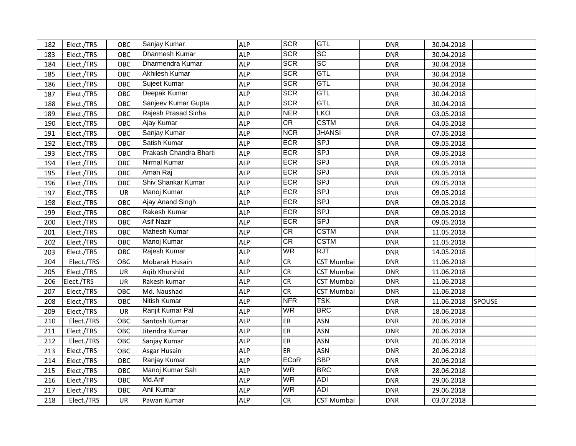| 182 | Elect./TRS | OBC       | Sanjay Kumar            | <b>ALP</b> | <b>SCR</b>  | <b>GTL</b>        | <b>DNR</b> | 30.04.2018 |               |
|-----|------------|-----------|-------------------------|------------|-------------|-------------------|------------|------------|---------------|
| 183 | Elect./TRS | OBC       | Dharmesh Kumar          | <b>ALP</b> | <b>SCR</b>  | <b>SC</b>         | <b>DNR</b> | 30.04.2018 |               |
| 184 | Elect./TRS | OBC       | Dharmendra Kumar        | <b>ALP</b> | <b>SCR</b>  | <b>SC</b>         | <b>DNR</b> | 30.04.2018 |               |
| 185 | Elect./TRS | OBC       | Akhilesh Kumar          | <b>ALP</b> | <b>SCR</b>  | GTL               | <b>DNR</b> | 30.04.2018 |               |
| 186 | Elect./TRS | OBC       | Sujeet Kumar            | <b>ALP</b> | <b>SCR</b>  | <b>GTL</b>        | <b>DNR</b> | 30.04.2018 |               |
| 187 | Elect./TRS | OBC       | Deepak Kumar            | <b>ALP</b> | <b>SCR</b>  | <b>GTL</b>        | <b>DNR</b> | 30.04.2018 |               |
| 188 | Elect./TRS | OBC       | Sanjeev Kumar Gupta     | <b>ALP</b> | <b>SCR</b>  | GTL               | <b>DNR</b> | 30.04.2018 |               |
| 189 | Elect./TRS | OBC       | Rajesh Prasad Sinha     | <b>ALP</b> | <b>NER</b>  | <b>LKO</b>        | <b>DNR</b> | 03.05.2018 |               |
| 190 | Elect./TRS | OBC       | Ajay Kumar              | <b>ALP</b> | CR          | <b>CSTM</b>       | <b>DNR</b> | 04.05.2018 |               |
| 191 | Elect./TRS | OBC       | Sanjay Kumar            | <b>ALP</b> | <b>NCR</b>  | <b>JHANSI</b>     | <b>DNR</b> | 07.05.2018 |               |
| 192 | Elect./TRS | OBC       | Satish Kumar            | <b>ALP</b> | <b>ECR</b>  | <b>SPJ</b>        | <b>DNR</b> | 09.05.2018 |               |
| 193 | Elect./TRS | OBC       | Prakash Chandra Bharti  | <b>ALP</b> | <b>ECR</b>  | <b>SPJ</b>        | <b>DNR</b> | 09.05.2018 |               |
| 194 | Elect./TRS | OBC       | Nirmal Kumar            | <b>ALP</b> | ECR         | <b>SPJ</b>        | <b>DNR</b> | 09.05.2018 |               |
| 195 | Elect./TRS | OBC       | Aman Raj                | <b>ALP</b> | <b>ECR</b>  | <b>SPJ</b>        | <b>DNR</b> | 09.05.2018 |               |
| 196 | Elect./TRS | OBC       | Shiv Shankar Kumar      | <b>ALP</b> | ECR         | <b>SPJ</b>        | <b>DNR</b> | 09.05.2018 |               |
| 197 | Elect./TRS | UR        | Manoj Kumar             | <b>ALP</b> | ECR         | <b>SPJ</b>        | <b>DNR</b> | 09.05.2018 |               |
| 198 | Elect./TRS | OBC       | <b>Ajay Anand Singh</b> | <b>ALP</b> | <b>ECR</b>  | <b>SPJ</b>        | <b>DNR</b> | 09.05.2018 |               |
| 199 | Elect./TRS | OBC       | Rakesh Kumar            | <b>ALP</b> | <b>ECR</b>  | <b>SPJ</b>        | <b>DNR</b> | 09.05.2018 |               |
| 200 | Elect./TRS | OBC       | Asif Nazir              | <b>ALP</b> | <b>ECR</b>  | <b>SPJ</b>        | <b>DNR</b> | 09.05.2018 |               |
| 201 | Elect./TRS | OBC       | Mahesh Kumar            | <b>ALP</b> | CR          | <b>CSTM</b>       | <b>DNR</b> | 11.05.2018 |               |
| 202 | Elect./TRS | OBC       | Manoj Kumar             | <b>ALP</b> | CR          | <b>CSTM</b>       | <b>DNR</b> | 11.05.2018 |               |
| 203 | Elect./TRS | OBC       | Rajesh Kumar            | <b>ALP</b> | <b>WR</b>   | RJT               | <b>DNR</b> | 14.05.2018 |               |
| 204 | Elect./TRS | OBC       | Mobarak Husain          | <b>ALP</b> | <b>CR</b>   | <b>CST Mumbai</b> | <b>DNR</b> | 11.06.2018 |               |
| 205 | Elect./TRS | <b>UR</b> | Aqib Khurshid           | <b>ALP</b> | CR          | CST Mumbai        | <b>DNR</b> | 11.06.2018 |               |
| 206 | Elect./TRS | UR        | Rakesh kumar            | <b>ALP</b> | CR          | <b>CST Mumbai</b> | <b>DNR</b> | 11.06.2018 |               |
| 207 | Elect./TRS | OBC       | Md. Naushad             | <b>ALP</b> | CR          | <b>CST Mumbai</b> | <b>DNR</b> | 11.06.2018 |               |
| 208 | Elect./TRS | OBC       | Nitish Kumar            | <b>ALP</b> | <b>NFR</b>  | <b>TSK</b>        | <b>DNR</b> | 11.06.2018 | <b>SPOUSE</b> |
| 209 | Elect./TRS | <b>UR</b> | Ranjit Kumar Pal        | <b>ALP</b> | <b>WR</b>   | <b>BRC</b>        | <b>DNR</b> | 18.06.2018 |               |
| 210 | Elect./TRS | OBC       | Santosh Kumar           | <b>ALP</b> | <b>ER</b>   | <b>ASN</b>        | <b>DNR</b> | 20.06.2018 |               |
| 211 | Elect./TRS | OBC       | Jitendra Kumar          | <b>ALP</b> | ER          | <b>ASN</b>        | <b>DNR</b> | 20.06.2018 |               |
| 212 | Elect./TRS | OBC       | Sanjay Kumar            | <b>ALP</b> | ER          | <b>ASN</b>        | <b>DNR</b> | 20.06.2018 |               |
| 213 | Elect./TRS | OBC       | Asgar Husain            | <b>ALP</b> | ER          | <b>ASN</b>        | <b>DNR</b> | 20.06.2018 |               |
| 214 | Elect./TRS | OBC       | Ranjay Kumar            | <b>ALP</b> | <b>ECoR</b> | <b>SBP</b>        | <b>DNR</b> | 20.06.2018 |               |
| 215 | Elect./TRS | OBC       | Manoj Kumar Sah         | <b>ALP</b> | <b>WR</b>   | <b>BRC</b>        | <b>DNR</b> | 28.06.2018 |               |
| 216 | Elect./TRS | OBC       | Md.Arif                 | <b>ALP</b> | WR          | <b>ADI</b>        | <b>DNR</b> | 29.06.2018 |               |
| 217 | Elect./TRS | OBC       | <b>Anil Kumar</b>       | <b>ALP</b> | WR          | <b>ADI</b>        | <b>DNR</b> | 29.06.2018 |               |
| 218 | Elect./TRS | <b>UR</b> | Pawan Kumar             | <b>ALP</b> | CR          | <b>CST Mumbai</b> | <b>DNR</b> | 03.07.2018 |               |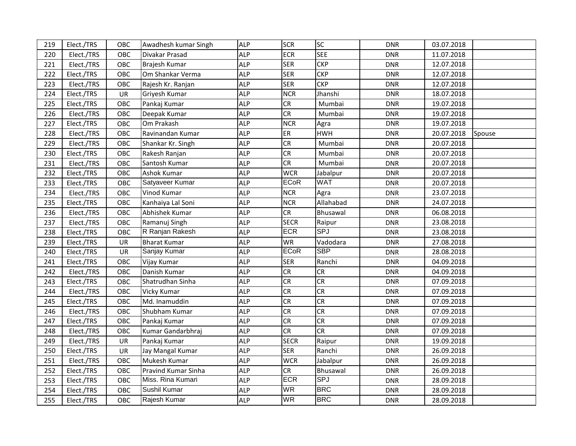| 219 | Elect./TRS | OBC        | Awadhesh kumar Singh | <b>ALP</b> | <b>SCR</b>  | <b>SC</b>  | <b>DNR</b> | 03.07.2018 |        |
|-----|------------|------------|----------------------|------------|-------------|------------|------------|------------|--------|
| 220 | Elect./TRS | OBC        | Divakar Prasad       | <b>ALP</b> | <b>ECR</b>  | <b>SEE</b> | <b>DNR</b> | 11.07.2018 |        |
| 221 | Elect./TRS | OBC        | Brajesh Kumar        | <b>ALP</b> | <b>SER</b>  | <b>CKP</b> | <b>DNR</b> | 12.07.2018 |        |
| 222 | Elect./TRS | OBC        | Om Shankar Verma     | <b>ALP</b> | <b>SER</b>  | <b>CKP</b> | <b>DNR</b> | 12.07.2018 |        |
| 223 | Elect./TRS | OBC        | Rajesh Kr. Ranjan    | <b>ALP</b> | <b>SER</b>  | <b>CKP</b> | <b>DNR</b> | 12.07.2018 |        |
| 224 | Elect./TRS | UR         | Griyesh Kumar        | <b>ALP</b> | <b>NCR</b>  | Jhanshi    | <b>DNR</b> | 18.07.2018 |        |
| 225 | Elect./TRS | OBC        | Pankaj Kumar         | <b>ALP</b> | <b>CR</b>   | Mumbai     | <b>DNR</b> | 19.07.2018 |        |
| 226 | Elect./TRS | OBC        | Deepak Kumar         | <b>ALP</b> | CR          | Mumbai     | <b>DNR</b> | 19.07.2018 |        |
| 227 | Elect./TRS | OBC        | Om Prakash           | <b>ALP</b> | <b>NCR</b>  | Agra       | <b>DNR</b> | 19.07.2018 |        |
| 228 | Elect./TRS | OBC        | Ravinandan Kumar     | <b>ALP</b> | ER          | <b>HWH</b> | <b>DNR</b> | 20.07.2018 | Spouse |
| 229 | Elect./TRS | OBC        | Shankar Kr. Singh    | <b>ALP</b> | CR          | Mumbai     | <b>DNR</b> | 20.07.2018 |        |
| 230 | Elect./TRS | OBC        | Rakesh Ranjan        | <b>ALP</b> | CR          | Mumbai     | <b>DNR</b> | 20.07.2018 |        |
| 231 | Elect./TRS | OBC        | Santosh Kumar        | <b>ALP</b> | CR          | Mumbai     | <b>DNR</b> | 20.07.2018 |        |
| 232 | Elect./TRS | OBC        | Ashok Kumar          | <b>ALP</b> | <b>WCR</b>  | Jabalpur   | <b>DNR</b> | 20.07.2018 |        |
| 233 | Elect./TRS | OBC        | Satyaveer Kumar      | <b>ALP</b> | <b>ECoR</b> | <b>WAT</b> | <b>DNR</b> | 20.07.2018 |        |
| 234 | Elect./TRS | OBC        | Vinod Kumar          | <b>ALP</b> | <b>NCR</b>  | Agra       | <b>DNR</b> | 23.07.2018 |        |
| 235 | Elect./TRS | OBC        | Kanhaiya Lal Soni    | <b>ALP</b> | <b>NCR</b>  | Allahabad  | <b>DNR</b> | 24.07.2018 |        |
| 236 | Elect./TRS | OBC        | Abhishek Kumar       | <b>ALP</b> | CR          | Bhusawal   | <b>DNR</b> | 06.08.2018 |        |
| 237 | Elect./TRS | OBC        | Ramanuj Singh        | <b>ALP</b> | <b>SECR</b> | Raipur     | <b>DNR</b> | 23.08.2018 |        |
| 238 | Elect./TRS | OBC        | R Ranjan Rakesh      | <b>ALP</b> | <b>ECR</b>  | <b>SPJ</b> | <b>DNR</b> | 23.08.2018 |        |
| 239 | Elect./TRS | UR         | <b>Bharat Kumar</b>  | <b>ALP</b> | WR          | Vadodara   | <b>DNR</b> | 27.08.2018 |        |
| 240 | Elect./TRS | UR         | Sanjay Kumar         | <b>ALP</b> | <b>ECoR</b> | <b>SBP</b> | <b>DNR</b> | 28.08.2018 |        |
| 241 | Elect./TRS | OBC        | Vijay Kumar          | <b>ALP</b> | <b>SER</b>  | Ranchi     | <b>DNR</b> | 04.09.2018 |        |
| 242 | Elect./TRS | OBC        | Danish Kumar         | <b>ALP</b> | <b>CR</b>   | <b>CR</b>  | <b>DNR</b> | 04.09.2018 |        |
| 243 | Elect./TRS | OBC        | Shatrudhan Sinha     | <b>ALP</b> | CR          | <b>CR</b>  | <b>DNR</b> | 07.09.2018 |        |
| 244 | Elect./TRS | OBC        | Vicky Kumar          | <b>ALP</b> | CR          | <b>CR</b>  | <b>DNR</b> | 07.09.2018 |        |
| 245 | Elect./TRS | OBC        | Md. Inamuddin        | <b>ALP</b> | CR          | <b>CR</b>  | <b>DNR</b> | 07.09.2018 |        |
| 246 | Elect./TRS | OBC        | Shubham Kumar        | <b>ALP</b> | CR          | CR         | <b>DNR</b> | 07.09.2018 |        |
| 247 | Elect./TRS | OBC        | Pankaj Kumar         | <b>ALP</b> | CR          | CR         | <b>DNR</b> | 07.09.2018 |        |
| 248 | Elect./TRS | OBC        | Kumar Gandarbhraj    | <b>ALP</b> | CR          | CR         | <b>DNR</b> | 07.09.2018 |        |
| 249 | Elect./TRS | UR         | Pankaj Kumar         | <b>ALP</b> | <b>SECR</b> | Raipur     | <b>DNR</b> | 19.09.2018 |        |
| 250 | Elect./TRS | UR         | Jay Mangal Kumar     | <b>ALP</b> | <b>SER</b>  | Ranchi     | <b>DNR</b> | 26.09.2018 |        |
| 251 | Elect./TRS | OBC        | Mukesh Kumar         | <b>ALP</b> | <b>WCR</b>  | Jabalpur   | <b>DNR</b> | 26.09.2018 |        |
| 252 | Elect./TRS | OBC        | Pravind Kumar Sinha  | <b>ALP</b> | CR          | Bhusawal   | <b>DNR</b> | 26.09.2018 |        |
| 253 | Elect./TRS | OBC        | Miss. Rina Kumari    | <b>ALP</b> | <b>ECR</b>  | <b>SPJ</b> | <b>DNR</b> | 28.09.2018 |        |
| 254 | Elect./TRS | OBC        | Sushil Kumar         | <b>ALP</b> | WR          | <b>BRC</b> | DNR        | 28.09.2018 |        |
| 255 | Elect./TRS | <b>OBC</b> | Rajesh Kumar         | <b>ALP</b> | WR          | <b>BRC</b> | <b>DNR</b> | 28.09.2018 |        |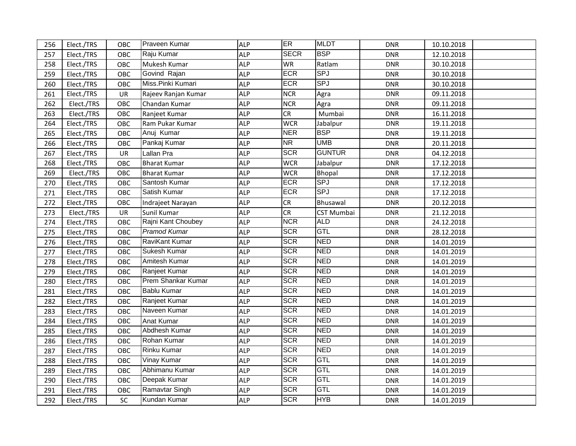| 256 | Elect./TRS | OBC       | Praveen Kumar       | <b>ALP</b> | ER          | <b>MLDT</b>       | <b>DNR</b> | 10.10.2018 |  |
|-----|------------|-----------|---------------------|------------|-------------|-------------------|------------|------------|--|
| 257 | Elect./TRS | OBC       | Raju Kumar          | <b>ALP</b> | <b>SECR</b> | <b>BSP</b>        | <b>DNR</b> | 12.10.2018 |  |
| 258 | Elect./TRS | OBC       | Mukesh Kumar        | <b>ALP</b> | WR          | Ratlam            | <b>DNR</b> | 30.10.2018 |  |
| 259 | Elect./TRS | OBC       | Govind Rajan        | <b>ALP</b> | ECR         | <b>SPJ</b>        | <b>DNR</b> | 30.10.2018 |  |
| 260 | Elect./TRS | OBC       | Miss.Pinki Kumari   | <b>ALP</b> | <b>ECR</b>  | <b>SPJ</b>        | <b>DNR</b> | 30.10.2018 |  |
| 261 | Elect./TRS | UR        | Rajeev Ranjan Kumar | <b>ALP</b> | <b>NCR</b>  | Agra              | <b>DNR</b> | 09.11.2018 |  |
| 262 | Elect./TRS | OBC       | Chandan Kumar       | <b>ALP</b> | <b>NCR</b>  | Agra              | <b>DNR</b> | 09.11.2018 |  |
| 263 | Elect./TRS | OBC       | Ranjeet Kumar       | <b>ALP</b> | <b>CR</b>   | Mumbai            | <b>DNR</b> | 16.11.2018 |  |
| 264 | Elect./TRS | OBC       | Ram Pukar Kumar     | <b>ALP</b> | <b>WCR</b>  | Jabalpur          | <b>DNR</b> | 19.11.2018 |  |
| 265 | Elect./TRS | OBC       | Anuj Kumar          | <b>ALP</b> | <b>NER</b>  | <b>BSP</b>        | <b>DNR</b> | 19.11.2018 |  |
| 266 | Elect./TRS | OBC       | Pankaj Kumar        | <b>ALP</b> | <b>NR</b>   | <b>UMB</b>        | <b>DNR</b> | 20.11.2018 |  |
| 267 | Elect./TRS | UR        | Lallan Pra          | <b>ALP</b> | <b>SCR</b>  | <b>GUNTUR</b>     | <b>DNR</b> | 04.12.2018 |  |
| 268 | Elect./TRS | OBC       | <b>Bharat Kumar</b> | <b>ALP</b> | <b>WCR</b>  | Jabalpur          | <b>DNR</b> | 17.12.2018 |  |
| 269 | Elect./TRS | OBC       | <b>Bharat Kumar</b> | <b>ALP</b> | <b>WCR</b>  | Bhopal            | <b>DNR</b> | 17.12.2018 |  |
| 270 | Elect./TRS | OBC       | Santosh Kumar       | <b>ALP</b> | <b>ECR</b>  | <b>SPJ</b>        | <b>DNR</b> | 17.12.2018 |  |
| 271 | Elect./TRS | OBC       | Satish Kumar        | <b>ALP</b> | <b>ECR</b>  | <b>SPJ</b>        | <b>DNR</b> | 17.12.2018 |  |
| 272 | Elect./TRS | OBC       | Indrajeet Narayan   | <b>ALP</b> | CR          | Bhusawal          | <b>DNR</b> | 20.12.2018 |  |
| 273 | Elect./TRS | UR        | Sunil Kumar         | <b>ALP</b> | CR          | <b>CST Mumbai</b> | <b>DNR</b> | 21.12.2018 |  |
| 274 | Elect./TRS | OBC       | Rajni Kant Choubey  | <b>ALP</b> | <b>NCR</b>  | <b>ALD</b>        | <b>DNR</b> | 24.12.2018 |  |
| 275 | Elect./TRS | OBC       | Pramod Kumar        | <b>ALP</b> | <b>SCR</b>  | GTL               | <b>DNR</b> | 28.12.2018 |  |
| 276 | Elect./TRS | OBC       | RaviKant Kumar      | <b>ALP</b> | <b>SCR</b>  | <b>NED</b>        | <b>DNR</b> | 14.01.2019 |  |
| 277 | Elect./TRS | OBC       | Sukesh Kumar        | <b>ALP</b> | <b>SCR</b>  | <b>NED</b>        | <b>DNR</b> | 14.01.2019 |  |
| 278 | Elect./TRS | OBC       | Amitesh Kumar       | <b>ALP</b> | <b>SCR</b>  | <b>NED</b>        | <b>DNR</b> | 14.01.2019 |  |
| 279 | Elect./TRS | OBC       | Ranjeet Kumar       | <b>ALP</b> | <b>SCR</b>  | <b>NED</b>        | <b>DNR</b> | 14.01.2019 |  |
| 280 | Elect./TRS | OBC       | Prem Shankar Kumar  | <b>ALP</b> | <b>SCR</b>  | <b>NED</b>        | <b>DNR</b> | 14.01.2019 |  |
| 281 | Elect./TRS | OBC       | <b>Bablu Kumar</b>  | <b>ALP</b> | <b>SCR</b>  | <b>NED</b>        | <b>DNR</b> | 14.01.2019 |  |
| 282 | Elect./TRS | OBC       | Ranjeet Kumar       | <b>ALP</b> | <b>SCR</b>  | <b>NED</b>        | <b>DNR</b> | 14.01.2019 |  |
| 283 | Elect./TRS | OBC       | Naveen Kumar        | <b>ALP</b> | <b>SCR</b>  | <b>NED</b>        | <b>DNR</b> | 14.01.2019 |  |
| 284 | Elect./TRS | OBC       | <b>Anat Kumar</b>   | <b>ALP</b> | <b>SCR</b>  | <b>NED</b>        | <b>DNR</b> | 14.01.2019 |  |
| 285 | Elect./TRS | OBC       | Abdhesh Kumar       | <b>ALP</b> | <b>SCR</b>  | <b>NED</b>        | <b>DNR</b> | 14.01.2019 |  |
| 286 | Elect./TRS | OBC       | Rohan Kumar         | <b>ALP</b> | <b>SCR</b>  | <b>NED</b>        | <b>DNR</b> | 14.01.2019 |  |
| 287 | Elect./TRS | OBC       | Rinku Kumar         | <b>ALP</b> | <b>SCR</b>  | <b>NED</b>        | <b>DNR</b> | 14.01.2019 |  |
| 288 | Elect./TRS | OBC       | Vinay Kumar         | <b>ALP</b> | <b>SCR</b>  | <b>GTL</b>        | <b>DNR</b> | 14.01.2019 |  |
| 289 | Elect./TRS | OBC       | Abhimanu Kumar      | <b>ALP</b> | <b>SCR</b>  | GTL               | <b>DNR</b> | 14.01.2019 |  |
| 290 | Elect./TRS | OBC       | Deepak Kumar        | <b>ALP</b> | <b>SCR</b>  | <b>GTL</b>        | <b>DNR</b> | 14.01.2019 |  |
| 291 | Elect./TRS | OBC       | Ramavtar Singh      | <b>ALP</b> | <b>SCR</b>  | <b>GTL</b>        | <b>DNR</b> | 14.01.2019 |  |
| 292 | Elect./TRS | <b>SC</b> | Kundan Kumar        | <b>ALP</b> | <b>SCR</b>  | <b>HYB</b>        | <b>DNR</b> | 14.01.2019 |  |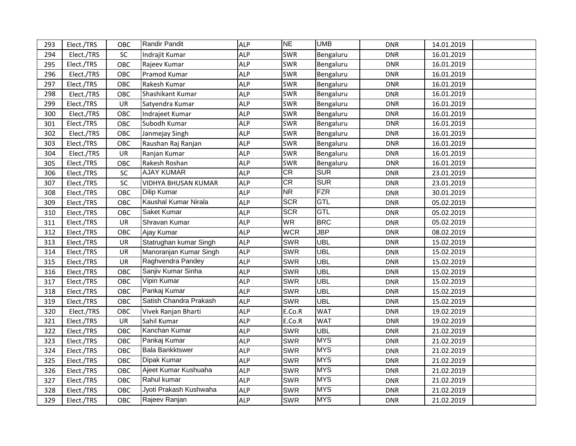| 293 | Elect./TRS | OBC       | <b>Randir Pandit</b>       | <b>ALP</b> | <b>NE</b>  | <b>UMB</b> | <b>DNR</b> | 14.01.2019 |  |
|-----|------------|-----------|----------------------------|------------|------------|------------|------------|------------|--|
| 294 | Elect./TRS | SC        | Indrajit Kumar             | <b>ALP</b> | <b>SWR</b> | Bengaluru  | <b>DNR</b> | 16.01.2019 |  |
| 295 | Elect./TRS | OBC       | Rajeev Kumar               | <b>ALP</b> | <b>SWR</b> | Bengaluru  | <b>DNR</b> | 16.01.2019 |  |
| 296 | Elect./TRS | OBC       | Pramod Kumar               | <b>ALP</b> | <b>SWR</b> | Bengaluru  | <b>DNR</b> | 16.01.2019 |  |
| 297 | Elect./TRS | OBC       | Rakesh Kumar               | <b>ALP</b> | <b>SWR</b> | Bengaluru  | <b>DNR</b> | 16.01.2019 |  |
| 298 | Elect./TRS | OBC       | Shashikant Kumar           | <b>ALP</b> | <b>SWR</b> | Bengaluru  | <b>DNR</b> | 16.01.2019 |  |
| 299 | Elect./TRS | UR        | Satyendra Kumar            | <b>ALP</b> | <b>SWR</b> | Bengaluru  | <b>DNR</b> | 16.01.2019 |  |
| 300 | Elect./TRS | OBC       | Indrajeet Kumar            | <b>ALP</b> | <b>SWR</b> | Bengaluru  | <b>DNR</b> | 16.01.2019 |  |
| 301 | Elect./TRS | OBC       | Subodh Kumar               | <b>ALP</b> | <b>SWR</b> | Bengaluru  | <b>DNR</b> | 16.01.2019 |  |
| 302 | Elect./TRS | OBC       | Janmejay Singh             | <b>ALP</b> | <b>SWR</b> | Bengaluru  | <b>DNR</b> | 16.01.2019 |  |
| 303 | Elect./TRS | OBC       | Raushan Raj Ranjan         | <b>ALP</b> | <b>SWR</b> | Bengaluru  | <b>DNR</b> | 16.01.2019 |  |
| 304 | Elect./TRS | UR        | Ranjan Kumar               | <b>ALP</b> | <b>SWR</b> | Bengaluru  | <b>DNR</b> | 16.01.2019 |  |
| 305 | Elect./TRS | OBC       | Rakesh Roshan              | <b>ALP</b> | <b>SWR</b> | Bengaluru  | <b>DNR</b> | 16.01.2019 |  |
| 306 | Elect./TRS | SC        | <b>AJAY KUMAR</b>          | <b>ALP</b> | CR         | <b>SUR</b> | <b>DNR</b> | 23.01.2019 |  |
| 307 | Elect./TRS | SC        | <b>VIDHYA BHUSAN KUMAR</b> | <b>ALP</b> | CR         | <b>SUR</b> | <b>DNR</b> | 23.01.2019 |  |
| 308 | Elect./TRS | OBC       | Dilip Kumar                | <b>ALP</b> | <b>NR</b>  | FZR        | <b>DNR</b> | 30.01.2019 |  |
| 309 | Elect./TRS | OBC       | Kaushal Kumar Nirala       | <b>ALP</b> | <b>SCR</b> | GTL        | <b>DNR</b> | 05.02.2019 |  |
| 310 | Elect./TRS | OBC       | Saket Kumar                | <b>ALP</b> | <b>SCR</b> | GTL        | <b>DNR</b> | 05.02.2019 |  |
| 311 | Elect./TRS | <b>UR</b> | Shravan Kumar              | <b>ALP</b> | <b>WR</b>  | <b>BRC</b> | <b>DNR</b> | 05.02.2019 |  |
| 312 | Elect./TRS | OBC       | Ajay Kumar                 | <b>ALP</b> | <b>WCR</b> | <b>JBP</b> | <b>DNR</b> | 08.02.2019 |  |
| 313 | Elect./TRS | UR        | Statrughan kumar Singh     | <b>ALP</b> | <b>SWR</b> | <b>UBL</b> | <b>DNR</b> | 15.02.2019 |  |
| 314 | Elect./TRS | UR        | Manoranjan Kumar Singh     | <b>ALP</b> | <b>SWR</b> | <b>UBL</b> | <b>DNR</b> | 15.02.2019 |  |
| 315 | Elect./TRS | <b>UR</b> | Raghvendra Pandey          | <b>ALP</b> | <b>SWR</b> | <b>UBL</b> | <b>DNR</b> | 15.02.2019 |  |
| 316 | Elect./TRS | OBC       | Sanjiv Kumar Sinha         | <b>ALP</b> | <b>SWR</b> | <b>UBL</b> | <b>DNR</b> | 15.02.2019 |  |
| 317 | Elect./TRS | OBC       | Vipin Kumar                | <b>ALP</b> | <b>SWR</b> | <b>UBL</b> | <b>DNR</b> | 15.02.2019 |  |
| 318 | Elect./TRS | OBC       | Pankaj Kumar               | <b>ALP</b> | <b>SWR</b> | <b>UBL</b> | <b>DNR</b> | 15.02.2019 |  |
| 319 | Elect./TRS | OBC       | Satish Chandra Prakash     | <b>ALP</b> | <b>SWR</b> | <b>UBL</b> | <b>DNR</b> | 15.02.2019 |  |
| 320 | Elect./TRS | OBC       | Vivek Ranjan Bharti        | <b>ALP</b> | E.Co.R     | <b>WAT</b> | <b>DNR</b> | 19.02.2019 |  |
| 321 | Elect./TRS | <b>UR</b> | Sahil Kumar                | <b>ALP</b> | E.Co.R     | <b>WAT</b> | <b>DNR</b> | 19.02.2019 |  |
| 322 | Elect./TRS | OBC       | Kanchan Kumar              | <b>ALP</b> | <b>SWR</b> | <b>UBL</b> | <b>DNR</b> | 21.02.2019 |  |
| 323 | Elect./TRS | OBC       | Pankaj Kumar               | <b>ALP</b> | <b>SWR</b> | <b>MYS</b> | <b>DNR</b> | 21.02.2019 |  |
| 324 | Elect./TRS | OBC       | <b>Bala Bankktswer</b>     | <b>ALP</b> | <b>SWR</b> | <b>MYS</b> | <b>DNR</b> | 21.02.2019 |  |
| 325 | Elect./TRS | OBC       | Dipak Kumar                | <b>ALP</b> | <b>SWR</b> | <b>MYS</b> | <b>DNR</b> | 21.02.2019 |  |
| 326 | Elect./TRS | OBC       | Ajeet Kumar Kushuaha       | <b>ALP</b> | <b>SWR</b> | <b>MYS</b> | <b>DNR</b> | 21.02.2019 |  |
| 327 | Elect./TRS | OBC       | Rahul kumar                | <b>ALP</b> | <b>SWR</b> | <b>MYS</b> | <b>DNR</b> | 21.02.2019 |  |
| 328 | Elect./TRS | OBC       | Jyoti Prakash Kushwaha     | <b>ALP</b> | <b>SWR</b> | <b>MYS</b> | <b>DNR</b> | 21.02.2019 |  |
| 329 | Elect./TRS | OBC       | Rajeev Ranjan              | <b>ALP</b> | <b>SWR</b> | <b>MYS</b> | <b>DNR</b> | 21.02.2019 |  |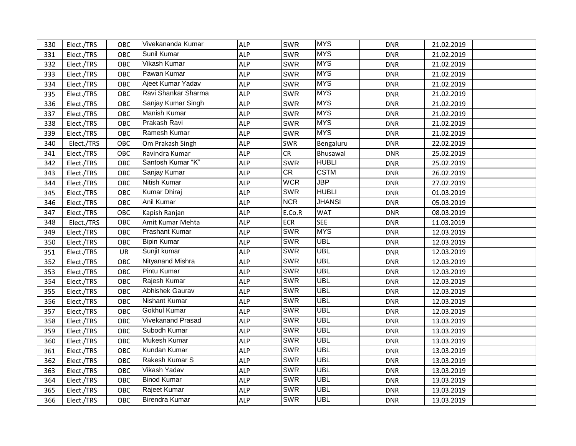| 330 | Elect./TRS | OBC        | Vivekananda Kumar        | <b>ALP</b> | <b>SWR</b> | <b>MYS</b>                | <b>DNR</b> | 21.02.2019 |  |
|-----|------------|------------|--------------------------|------------|------------|---------------------------|------------|------------|--|
| 331 | Elect./TRS | OBC        | Sunil Kumar              | <b>ALP</b> | SWR        | <b>MYS</b>                | <b>DNR</b> | 21.02.2019 |  |
| 332 | Elect./TRS | OBC        | Vikash Kumar             | <b>ALP</b> | <b>SWR</b> | <b>MYS</b>                | <b>DNR</b> | 21.02.2019 |  |
| 333 | Elect./TRS | OBC        | Pawan Kumar              | <b>ALP</b> | <b>SWR</b> | <b>MYS</b>                | <b>DNR</b> | 21.02.2019 |  |
| 334 | Elect./TRS | OBC        | Ajeet Kumar Yadav        | <b>ALP</b> | SWR        | <b>MYS</b>                | <b>DNR</b> | 21.02.2019 |  |
| 335 | Elect./TRS | OBC        | Ravi Shankar Sharma      | <b>ALP</b> | SWR        | <b>MYS</b>                | <b>DNR</b> | 21.02.2019 |  |
| 336 | Elect./TRS | OBC        | Sanjay Kumar Singh       | <b>ALP</b> | SWR        | <b>MYS</b>                | <b>DNR</b> | 21.02.2019 |  |
| 337 | Elect./TRS | OBC        | Manish Kumar             | <b>ALP</b> | SWR        | <b>MYS</b>                | <b>DNR</b> | 21.02.2019 |  |
| 338 | Elect./TRS | OBC        | Prakash Ravi             | <b>ALP</b> | <b>SWR</b> | <b>MYS</b>                | <b>DNR</b> | 21.02.2019 |  |
| 339 | Elect./TRS | OBC        | Ramesh Kumar             | <b>ALP</b> | <b>SWR</b> | <b>MYS</b>                | <b>DNR</b> | 21.02.2019 |  |
| 340 | Elect./TRS | OBC        | Om Prakash Singh         | <b>ALP</b> | <b>SWR</b> | Bengaluru                 | <b>DNR</b> | 22.02.2019 |  |
| 341 | Elect./TRS | OBC        | Ravindra Kumar           | <b>ALP</b> | CR         | Bhusawal                  | <b>DNR</b> | 25.02.2019 |  |
| 342 | Elect./TRS | OBC        | Santosh Kumar "K"        | <b>ALP</b> | <b>SWR</b> | <b>HUBLI</b>              | <b>DNR</b> | 25.02.2019 |  |
| 343 | Elect./TRS | OBC        | Sanjay Kumar             | <b>ALP</b> | CR         | <b>CSTM</b>               | <b>DNR</b> | 26.02.2019 |  |
| 344 | Elect./TRS | OBC        | Nitish Kumar             | <b>ALP</b> | <b>WCR</b> | $\overline{\mathsf{JBP}}$ | <b>DNR</b> | 27.02.2019 |  |
| 345 | Elect./TRS | OBC        | <b>Kumar Dhiraj</b>      | <b>ALP</b> | <b>SWR</b> | <b>HUBLI</b>              | <b>DNR</b> | 01.03.2019 |  |
| 346 | Elect./TRS | OBC        | <b>Anil Kumar</b>        | <b>ALP</b> | <b>NCR</b> | <b>JHANSI</b>             | <b>DNR</b> | 05.03.2019 |  |
| 347 | Elect./TRS | OBC        | Kapish Ranjan            | <b>ALP</b> | E.Co.R     | <b>WAT</b>                | <b>DNR</b> | 08.03.2019 |  |
| 348 | Elect./TRS | OBC        | Amit Kumar Mehta         | <b>ALP</b> | <b>ECR</b> | <b>SEE</b>                | <b>DNR</b> | 11.03.2019 |  |
| 349 | Elect./TRS | OBC        | Prashant Kumar           | <b>ALP</b> | <b>SWR</b> | <b>MYS</b>                | <b>DNR</b> | 12.03.2019 |  |
| 350 | Elect./TRS | OBC        | <b>Bipin Kumar</b>       | <b>ALP</b> | <b>SWR</b> | <b>UBL</b>                | <b>DNR</b> | 12.03.2019 |  |
| 351 | Elect./TRS | UR         | Sunjit kumar             | <b>ALP</b> | <b>SWR</b> | <b>UBL</b>                | <b>DNR</b> | 12.03.2019 |  |
| 352 | Elect./TRS | OBC        | <b>Nityanand Mishra</b>  | <b>ALP</b> | <b>SWR</b> | <b>UBL</b>                | <b>DNR</b> | 12.03.2019 |  |
| 353 | Elect./TRS | OBC        | <b>Pintu Kumar</b>       | <b>ALP</b> | <b>SWR</b> | <b>UBL</b>                | <b>DNR</b> | 12.03.2019 |  |
| 354 | Elect./TRS | OBC        | Rajesh Kumar             | <b>ALP</b> | <b>SWR</b> | <b>UBL</b>                | <b>DNR</b> | 12.03.2019 |  |
| 355 | Elect./TRS | OBC        | Abhishek Gaurav          | <b>ALP</b> | <b>SWR</b> | <b>UBL</b>                | <b>DNR</b> | 12.03.2019 |  |
| 356 | Elect./TRS | OBC        | Nishant Kumar            | <b>ALP</b> | <b>SWR</b> | <b>UBL</b>                | <b>DNR</b> | 12.03.2019 |  |
| 357 | Elect./TRS | OBC        | <b>Gokhul Kumar</b>      | <b>ALP</b> | <b>SWR</b> | <b>UBL</b>                | <b>DNR</b> | 12.03.2019 |  |
| 358 | Elect./TRS | OBC        | <b>Vivekanand Prasad</b> | <b>ALP</b> | <b>SWR</b> | <b>UBL</b>                | <b>DNR</b> | 13.03.2019 |  |
| 359 | Elect./TRS | OBC        | Subodh Kumar             | <b>ALP</b> | <b>SWR</b> | <b>UBL</b>                | <b>DNR</b> | 13.03.2019 |  |
| 360 | Elect./TRS | OBC        | Mukesh Kumar             | <b>ALP</b> | <b>SWR</b> | <b>UBL</b>                | <b>DNR</b> | 13.03.2019 |  |
| 361 | Elect./TRS | OBC        | Kundan Kumar             | <b>ALP</b> | <b>SWR</b> | <b>UBL</b>                | <b>DNR</b> | 13.03.2019 |  |
| 362 | Elect./TRS | OBC        | Rakesh Kumar S           | <b>ALP</b> | <b>SWR</b> | <b>UBL</b>                | <b>DNR</b> | 13.03.2019 |  |
| 363 | Elect./TRS | OBC        | Vikash Yadav             | <b>ALP</b> | <b>SWR</b> | <b>UBL</b>                | <b>DNR</b> | 13.03.2019 |  |
| 364 | Elect./TRS | OBC        | <b>Binod Kumar</b>       | <b>ALP</b> | <b>SWR</b> | <b>UBL</b>                | <b>DNR</b> | 13.03.2019 |  |
| 365 | Elect./TRS | <b>OBC</b> | Rajeet Kumar             | <b>ALP</b> | <b>SWR</b> | <b>UBL</b>                | DNR        | 13.03.2019 |  |
| 366 | Elect./TRS | OBC        | <b>Birendra Kumar</b>    | <b>ALP</b> | <b>SWR</b> | <b>UBL</b>                | <b>DNR</b> | 13.03.2019 |  |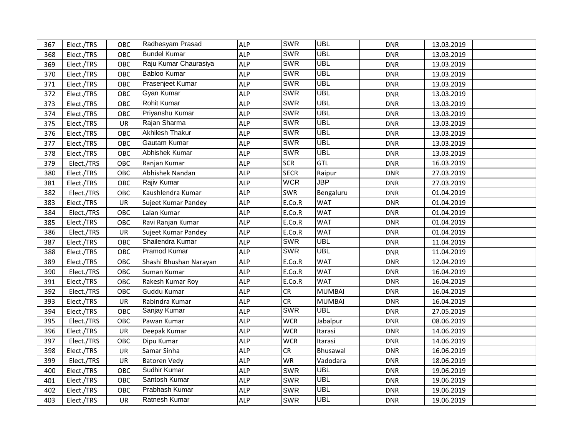| 367 | Elect./TRS | OBC       | Radhesyam Prasad       | <b>ALP</b> | <b>SWR</b>  | <b>UBL</b>                | <b>DNR</b> | 13.03.2019 |  |
|-----|------------|-----------|------------------------|------------|-------------|---------------------------|------------|------------|--|
| 368 | Elect./TRS | OBC       | <b>Bundel Kumar</b>    | <b>ALP</b> | <b>SWR</b>  | <b>UBL</b>                | <b>DNR</b> | 13.03.2019 |  |
| 369 | Elect./TRS | OBC       | Raju Kumar Chaurasiya  | <b>ALP</b> | <b>SWR</b>  | <b>UBL</b>                | <b>DNR</b> | 13.03.2019 |  |
| 370 | Elect./TRS | OBC       | <b>Babloo Kumar</b>    | <b>ALP</b> | <b>SWR</b>  | <b>UBL</b>                | <b>DNR</b> | 13.03.2019 |  |
| 371 | Elect./TRS | OBC       | Prasenjeet Kumar       | <b>ALP</b> | <b>SWR</b>  | <b>UBL</b>                | <b>DNR</b> | 13.03.2019 |  |
| 372 | Elect./TRS | OBC       | Gyan Kumar             | <b>ALP</b> | <b>SWR</b>  | <b>UBL</b>                | <b>DNR</b> | 13.03.2019 |  |
| 373 | Elect./TRS | OBC       | Rohit Kumar            | <b>ALP</b> | <b>SWR</b>  | <b>UBL</b>                | <b>DNR</b> | 13.03.2019 |  |
| 374 | Elect./TRS | OBC       | Priyanshu Kumar        | <b>ALP</b> | <b>SWR</b>  | <b>UBL</b>                | <b>DNR</b> | 13.03.2019 |  |
| 375 | Elect./TRS | UR        | Rajan Sharma           | <b>ALP</b> | <b>SWR</b>  | <b>UBL</b>                | <b>DNR</b> | 13.03.2019 |  |
| 376 | Elect./TRS | OBC       | Akhilesh Thakur        | <b>ALP</b> | <b>SWR</b>  | <b>UBL</b>                | <b>DNR</b> | 13.03.2019 |  |
| 377 | Elect./TRS | OBC       | Gautam Kumar           | <b>ALP</b> | <b>SWR</b>  | <b>UBL</b>                | <b>DNR</b> | 13.03.2019 |  |
| 378 | Elect./TRS | OBC       | Abhishek Kumar         | <b>ALP</b> | <b>SWR</b>  | <b>UBL</b>                | <b>DNR</b> | 13.03.2019 |  |
| 379 | Elect./TRS | OBC       | Ranjan Kumar           | <b>ALP</b> | <b>SCR</b>  | <b>GTL</b>                | <b>DNR</b> | 16.03.2019 |  |
| 380 | Elect./TRS | OBC       | Abhishek Nandan        | <b>ALP</b> | <b>SECR</b> | Raipur                    | <b>DNR</b> | 27.03.2019 |  |
| 381 | Elect./TRS | OBC       | Rajiv Kumar            | <b>ALP</b> | <b>WCR</b>  | $\overline{\mathsf{JBP}}$ | <b>DNR</b> | 27.03.2019 |  |
| 382 | Elect./TRS | OBC       | Kaushlendra Kumar      | <b>ALP</b> | <b>SWR</b>  | Bengaluru                 | <b>DNR</b> | 01.04.2019 |  |
| 383 | Elect./TRS | UR        | Sujeet Kumar Pandey    | <b>ALP</b> | E.Co.R      | <b>WAT</b>                | <b>DNR</b> | 01.04.2019 |  |
| 384 | Elect./TRS | OBC       | Lalan Kumar            | <b>ALP</b> | E.Co.R      | <b>WAT</b>                | <b>DNR</b> | 01.04.2019 |  |
| 385 | Elect./TRS | OBC       | Ravi Ranjan Kumar      | <b>ALP</b> | E.Co.R      | <b>WAT</b>                | <b>DNR</b> | 01.04.2019 |  |
| 386 | Elect./TRS | UR        | Sujeet Kumar Pandey    | <b>ALP</b> | E.Co.R      | <b>WAT</b>                | <b>DNR</b> | 01.04.2019 |  |
| 387 | Elect./TRS | OBC       | Shailendra Kumar       | <b>ALP</b> | <b>SWR</b>  | <b>UBL</b>                | <b>DNR</b> | 11.04.2019 |  |
| 388 | Elect./TRS | OBC       | Pramod Kumar           | <b>ALP</b> | <b>SWR</b>  | <b>UBL</b>                | <b>DNR</b> | 11.04.2019 |  |
| 389 | Elect./TRS | OBC       | Shashi Bhushan Narayan | <b>ALP</b> | E.Co.R      | <b>WAT</b>                | <b>DNR</b> | 12.04.2019 |  |
| 390 | Elect./TRS | OBC       | Suman Kumar            | <b>ALP</b> | E.Co.R      | <b>WAT</b>                | <b>DNR</b> | 16.04.2019 |  |
| 391 | Elect./TRS | OBC       | Rakesh Kumar Roy       | <b>ALP</b> | E.Co.R      | <b>WAT</b>                | <b>DNR</b> | 16.04.2019 |  |
| 392 | Elect./TRS | OBC       | Guddu Kumar            | <b>ALP</b> | CR          | <b>MUMBAI</b>             | <b>DNR</b> | 16.04.2019 |  |
| 393 | Elect./TRS | UR        | Rabindra Kumar         | <b>ALP</b> | CR          | <b>MUMBAI</b>             | <b>DNR</b> | 16.04.2019 |  |
| 394 | Elect./TRS | OBC       | Sanjay Kumar           | <b>ALP</b> | <b>SWR</b>  | <b>UBL</b>                | <b>DNR</b> | 27.05.2019 |  |
| 395 | Elect./TRS | OBC       | Pawan Kumar            | <b>ALP</b> | <b>WCR</b>  | Jabalpur                  | <b>DNR</b> | 08.06.2019 |  |
| 396 | Elect./TRS | UR        | Deepak Kumar           | <b>ALP</b> | <b>WCR</b>  | Itarasi                   | <b>DNR</b> | 14.06.2019 |  |
| 397 | Elect./TRS | OBC       | Dipu Kumar             | <b>ALP</b> | <b>WCR</b>  | Itarasi                   | <b>DNR</b> | 14.06.2019 |  |
| 398 | Elect./TRS | UR        | Samar Sinha            | <b>ALP</b> | CR          | Bhusawal                  | <b>DNR</b> | 16.06.2019 |  |
| 399 | Elect./TRS | UR        | <b>Batoren Vedy</b>    | <b>ALP</b> | <b>WR</b>   | Vadodara                  | <b>DNR</b> | 18.06.2019 |  |
| 400 | Elect./TRS | OBC       | Sudhir Kumar           | <b>ALP</b> | <b>SWR</b>  | <b>UBL</b>                | <b>DNR</b> | 19.06.2019 |  |
| 401 | Elect./TRS | OBC       | Santosh Kumar          | <b>ALP</b> | <b>SWR</b>  | <b>UBL</b>                | <b>DNR</b> | 19.06.2019 |  |
| 402 | Elect./TRS | OBC       | Prabhash Kumar         | <b>ALP</b> | <b>SWR</b>  | <b>UBL</b>                | <b>DNR</b> | 19.06.2019 |  |
| 403 | Elect./TRS | <b>UR</b> | Ratnesh Kumar          | <b>ALP</b> | <b>SWR</b>  | <b>UBL</b>                | <b>DNR</b> | 19.06.2019 |  |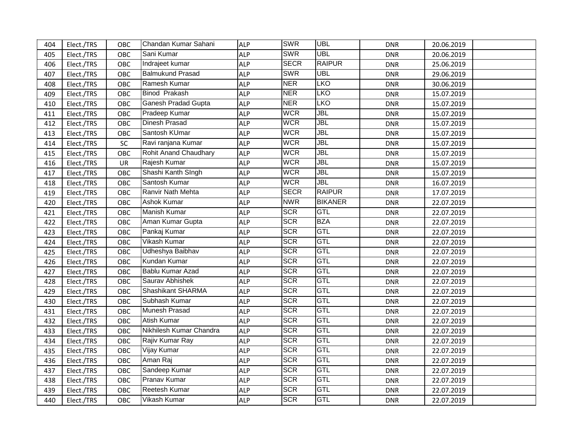| 404 | Elect./TRS | OBC | Chandan Kumar Sahani     | <b>ALP</b> | <b>SWR</b>  | <b>UBL</b>     | <b>DNR</b> | 20.06.2019 |  |
|-----|------------|-----|--------------------------|------------|-------------|----------------|------------|------------|--|
| 405 | Elect./TRS | OBC | Sani Kumar               | <b>ALP</b> | <b>SWR</b>  | <b>UBL</b>     | <b>DNR</b> | 20.06.2019 |  |
| 406 | Elect./TRS | OBC | Indrajeet kumar          | <b>ALP</b> | <b>SECR</b> | <b>RAIPUR</b>  | <b>DNR</b> | 25.06.2019 |  |
| 407 | Elect./TRS | OBC | <b>Balmukund Prasad</b>  | <b>ALP</b> | <b>SWR</b>  | <b>UBL</b>     | <b>DNR</b> | 29.06.2019 |  |
| 408 | Elect./TRS | OBC | Ramesh Kumar             | <b>ALP</b> | <b>NER</b>  | <b>LKO</b>     | <b>DNR</b> | 30.06.2019 |  |
| 409 | Elect./TRS | OBC | <b>Binod Prakash</b>     | <b>ALP</b> | <b>NER</b>  | <b>LKO</b>     | <b>DNR</b> | 15.07.2019 |  |
| 410 | Elect./TRS | OBC | Ganesh Pradad Gupta      | <b>ALP</b> | <b>NER</b>  | EKO            | <b>DNR</b> | 15.07.2019 |  |
| 411 | Elect./TRS | OBC | Pradeep Kumar            | <b>ALP</b> | <b>WCR</b>  | JBL            | <b>DNR</b> | 15.07.2019 |  |
| 412 | Elect./TRS | OBC | Dinesh Prasad            | <b>ALP</b> | <b>WCR</b>  | <b>JBL</b>     | <b>DNR</b> | 15.07.2019 |  |
| 413 | Elect./TRS | OBC | Santosh KUmar            | <b>ALP</b> | <b>WCR</b>  | JBL            | <b>DNR</b> | 15.07.2019 |  |
| 414 | Elect./TRS | SC  | Ravi ranjana Kumar       | <b>ALP</b> | <b>WCR</b>  | JBL            | <b>DNR</b> | 15.07.2019 |  |
| 415 | Elect./TRS | OBC | Rohit Anand Chaudhary    | <b>ALP</b> | <b>WCR</b>  | <b>JBL</b>     | <b>DNR</b> | 15.07.2019 |  |
| 416 | Elect./TRS | UR  | Rajesh Kumar             | <b>ALP</b> | <b>WCR</b>  | JBL            | <b>DNR</b> | 15.07.2019 |  |
| 417 | Elect./TRS | OBC | Shashi Kanth SIngh       | <b>ALP</b> | <b>WCR</b>  | JBL            | <b>DNR</b> | 15.07.2019 |  |
| 418 | Elect./TRS | OBC | Santosh Kumar            | <b>ALP</b> | <b>WCR</b>  | JBL            | <b>DNR</b> | 16.07.2019 |  |
| 419 | Elect./TRS | OBC | Ranvir Nath Mehta        | <b>ALP</b> | <b>SECR</b> | <b>RAIPUR</b>  | <b>DNR</b> | 17.07.2019 |  |
| 420 | Elect./TRS | OBC | Ashok Kumar              | <b>ALP</b> | <b>NWR</b>  | <b>BIKANER</b> | <b>DNR</b> | 22.07.2019 |  |
| 421 | Elect./TRS | OBC | <b>Manish Kumar</b>      | <b>ALP</b> | <b>SCR</b>  | GTL            | <b>DNR</b> | 22.07.2019 |  |
| 422 | Elect./TRS | OBC | Aman Kumar Gupta         | <b>ALP</b> | <b>SCR</b>  | <b>BZA</b>     | <b>DNR</b> | 22.07.2019 |  |
| 423 | Elect./TRS | OBC | Pankaj Kumar             | <b>ALP</b> | <b>SCR</b>  | <b>GTL</b>     | <b>DNR</b> | 22.07.2019 |  |
| 424 | Elect./TRS | OBC | Vikash Kumar             | <b>ALP</b> | <b>SCR</b>  | GTL            | <b>DNR</b> | 22.07.2019 |  |
| 425 | Elect./TRS | OBC | Udheshya Baibhav         | <b>ALP</b> | <b>SCR</b>  | GTL            | <b>DNR</b> | 22.07.2019 |  |
| 426 | Elect./TRS | OBC | Kundan Kumar             | <b>ALP</b> | <b>SCR</b>  | <b>GTL</b>     | <b>DNR</b> | 22.07.2019 |  |
| 427 | Elect./TRS | OBC | Bablu Kumar Azad         | <b>ALP</b> | <b>SCR</b>  | GTL            | <b>DNR</b> | 22.07.2019 |  |
| 428 | Elect./TRS | OBC | Saurav Abhishek          | <b>ALP</b> | <b>SCR</b>  | GTL            | <b>DNR</b> | 22.07.2019 |  |
| 429 | Elect./TRS | OBC | <b>Shashikant SHARMA</b> | <b>ALP</b> | <b>SCR</b>  | <b>GTL</b>     | <b>DNR</b> | 22.07.2019 |  |
| 430 | Elect./TRS | OBC | Subhash Kumar            | <b>ALP</b> | <b>SCR</b>  | GTL            | <b>DNR</b> | 22.07.2019 |  |
| 431 | Elect./TRS | OBC | Munesh Prasad            | <b>ALP</b> | <b>SCR</b>  | GTL            | <b>DNR</b> | 22.07.2019 |  |
| 432 | Elect./TRS | OBC | <b>Atish Kumar</b>       | <b>ALP</b> | <b>SCR</b>  | GTL            | <b>DNR</b> | 22.07.2019 |  |
| 433 | Elect./TRS | OBC | Nikhilesh Kumar Chandra  | <b>ALP</b> | <b>SCR</b>  | GTL            | <b>DNR</b> | 22.07.2019 |  |
| 434 | Elect./TRS | OBC | Rajiv Kumar Ray          | <b>ALP</b> | <b>SCR</b>  | <b>GTL</b>     | <b>DNR</b> | 22.07.2019 |  |
| 435 | Elect./TRS | OBC | Vijay Kumar              | <b>ALP</b> | <b>SCR</b>  | GTL            | <b>DNR</b> | 22.07.2019 |  |
| 436 | Elect./TRS | OBC | Aman Raj                 | <b>ALP</b> | <b>SCR</b>  | <b>GTL</b>     | <b>DNR</b> | 22.07.2019 |  |
| 437 | Elect./TRS | OBC | Sandeep Kumar            | <b>ALP</b> | <b>SCR</b>  | GTL            | <b>DNR</b> | 22.07.2019 |  |
| 438 | Elect./TRS | OBC | <b>Pranav Kumar</b>      | <b>ALP</b> | <b>SCR</b>  | GTL            | <b>DNR</b> | 22.07.2019 |  |
| 439 | Elect./TRS | OBC | Reetesh Kumar            | <b>ALP</b> | <b>SCR</b>  | GTL            | <b>DNR</b> | 22.07.2019 |  |
| 440 | Elect./TRS | OBC | Vikash Kumar             | <b>ALP</b> | <b>SCR</b>  | <b>GTL</b>     | <b>DNR</b> | 22.07.2019 |  |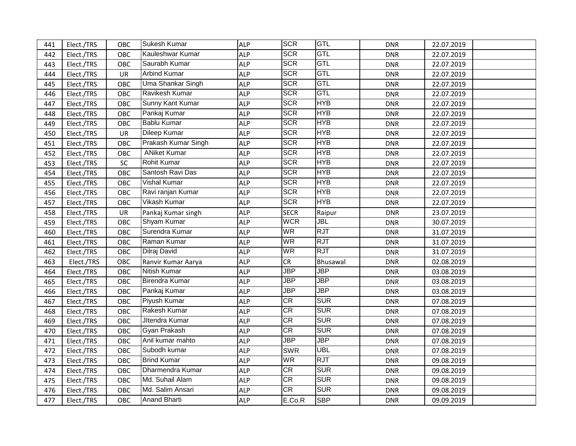| 441 | Elect./TRS | OBC | Sukesh Kumar        | <b>ALP</b> | <b>SCR</b>  | <b>GTL</b>                | <b>DNR</b> | 22.07.2019 |  |
|-----|------------|-----|---------------------|------------|-------------|---------------------------|------------|------------|--|
| 442 | Elect./TRS | OBC | Kauleshwar Kumar    | <b>ALP</b> | <b>SCR</b>  | GTL                       | <b>DNR</b> | 22.07.2019 |  |
| 443 | Elect./TRS | OBC | Saurabh Kumar       | <b>ALP</b> | <b>SCR</b>  | GTL                       | <b>DNR</b> | 22.07.2019 |  |
| 444 | Elect./TRS | UR  | <b>Arbind Kumar</b> | <b>ALP</b> | <b>SCR</b>  | GTL                       | <b>DNR</b> | 22.07.2019 |  |
| 445 | Elect./TRS | OBC | Uma Shankar Singh   | <b>ALP</b> | <b>SCR</b>  | GTL                       | <b>DNR</b> | 22.07.2019 |  |
| 446 | Elect./TRS | OBC | Ravikesh Kumar      | <b>ALP</b> | <b>SCR</b>  | <b>GTL</b>                | <b>DNR</b> | 22.07.2019 |  |
| 447 | Elect./TRS | OBC | Sunny Kant Kumar    | <b>ALP</b> | <b>SCR</b>  | <b>HYB</b>                | <b>DNR</b> | 22.07.2019 |  |
| 448 | Elect./TRS | OBC | Pankaj Kumar        | <b>ALP</b> | <b>SCR</b>  | <b>HYB</b>                | <b>DNR</b> | 22.07.2019 |  |
| 449 | Elect./TRS | OBC | <b>Bablu Kumar</b>  | <b>ALP</b> | <b>SCR</b>  | <b>HYB</b>                | <b>DNR</b> | 22.07.2019 |  |
| 450 | Elect./TRS | UR  | Dileep Kumar        | <b>ALP</b> | <b>SCR</b>  | <b>HYB</b>                | <b>DNR</b> | 22.07.2019 |  |
| 451 | Elect./TRS | OBC | Prakash Kumar Singh | <b>ALP</b> | <b>SCR</b>  | <b>HYB</b>                | <b>DNR</b> | 22.07.2019 |  |
| 452 | Elect./TRS | OBC | <b>ANiket Kumar</b> | <b>ALP</b> | <b>SCR</b>  | <b>HYB</b>                | <b>DNR</b> | 22.07.2019 |  |
| 453 | Elect./TRS | SC  | Rohit Kumar         | <b>ALP</b> | <b>SCR</b>  | <b>HYB</b>                | <b>DNR</b> | 22.07.2019 |  |
| 454 | Elect./TRS | OBC | Santosh Ravi Das    | <b>ALP</b> | <b>SCR</b>  | <b>HYB</b>                | <b>DNR</b> | 22.07.2019 |  |
| 455 | Elect./TRS | OBC | <b>Vishal Kumar</b> | <b>ALP</b> | <b>SCR</b>  | <b>HYB</b>                | <b>DNR</b> | 22.07.2019 |  |
| 456 | Elect./TRS | OBC | Ravi ranjan Kumar   | <b>ALP</b> | <b>SCR</b>  | <b>HYB</b>                | <b>DNR</b> | 22.07.2019 |  |
| 457 | Elect./TRS | OBC | <b>Vikash Kumar</b> | <b>ALP</b> | <b>SCR</b>  | <b>HYB</b>                | <b>DNR</b> | 22.07.2019 |  |
| 458 | Elect./TRS | UR  | Pankaj Kumar singh  | <b>ALP</b> | <b>SECR</b> | Raipur                    | <b>DNR</b> | 23.07.2019 |  |
| 459 | Elect./TRS | OBC | Shyam Kumar         | <b>ALP</b> | <b>WCR</b>  | <b>JBL</b>                | <b>DNR</b> | 30.07.2019 |  |
| 460 | Elect./TRS | OBC | Surendra Kumar      | <b>ALP</b> | <b>WR</b>   | RJT                       | <b>DNR</b> | 31.07.2019 |  |
| 461 | Elect./TRS | OBC | Raman Kumar         | <b>ALP</b> | <b>WR</b>   | <b>RJT</b>                | <b>DNR</b> | 31.07.2019 |  |
| 462 | Elect./TRS | OBC | Dilraj David        | <b>ALP</b> | WR          | <b>RJT</b>                | <b>DNR</b> | 31.07.2019 |  |
| 463 | Elect./TRS | OBC | Ranvir Kumar Aarya  | <b>ALP</b> | CR          | Bhusawal                  | <b>DNR</b> | 02.08.2019 |  |
| 464 | Elect./TRS | OBC | <b>Nitish Kumar</b> | <b>ALP</b> | <b>JBP</b>  | $\overline{\textsf{JBP}}$ | <b>DNR</b> | 03.08.2019 |  |
| 465 | Elect./TRS | OBC | Birendra Kumar      | <b>ALP</b> | <b>JBP</b>  | $\overline{\mathsf{JBP}}$ | <b>DNR</b> | 03.08.2019 |  |
| 466 | Elect./TRS | OBC | Pankaj Kumar        | <b>ALP</b> | <b>JBP</b>  | $\overline{\mathsf{JBP}}$ | <b>DNR</b> | 03.08.2019 |  |
| 467 | Elect./TRS | OBC | Piyush Kumar        | <b>ALP</b> | <b>CR</b>   | <b>SUR</b>                | <b>DNR</b> | 07.08.2019 |  |
| 468 | Elect./TRS | OBC | Rakesh Kumar        | <b>ALP</b> | CR          | <b>SUR</b>                | <b>DNR</b> | 07.08.2019 |  |
| 469 | Elect./TRS | OBC | JItendra Kumar      | <b>ALP</b> | CR          | <b>SUR</b>                | <b>DNR</b> | 07.08.2019 |  |
| 470 | Elect./TRS | OBC | Gyan Prakash        | <b>ALP</b> | <b>CR</b>   | <b>SUR</b>                | <b>DNR</b> | 07.08.2019 |  |
| 471 | Elect./TRS | OBC | Anil kumar mahto    | <b>ALP</b> | <b>JBP</b>  | $\overline{\text{JBP}}$   | <b>DNR</b> | 07.08.2019 |  |
| 472 | Elect./TRS | OBC | Subodh kumar        | <b>ALP</b> | <b>SWR</b>  | <b>UBL</b>                | <b>DNR</b> | 07.08.2019 |  |
| 473 | Elect./TRS | OBC | <b>Brind Kumar</b>  | <b>ALP</b> | <b>WR</b>   | <b>RJT</b>                | <b>DNR</b> | 09.08.2019 |  |
| 474 | Elect./TRS | OBC | Dharmendra Kumar    | <b>ALP</b> | <b>CR</b>   | <b>SUR</b>                | <b>DNR</b> | 09.08.2019 |  |
| 475 | Elect./TRS | OBC | Md. Suhail Alam     | <b>ALP</b> | CR          | <b>SUR</b>                | <b>DNR</b> | 09.08.2019 |  |
| 476 | Elect./TRS | OBC | Md. Salim Ansari    | <b>ALP</b> | CR          | <b>SUR</b>                | <b>DNR</b> | 09.08.2019 |  |
| 477 | Elect./TRS | OBC | <b>Anand Bharti</b> | <b>ALP</b> | E.Co.R      | <b>SBP</b>                | <b>DNR</b> | 09.09.2019 |  |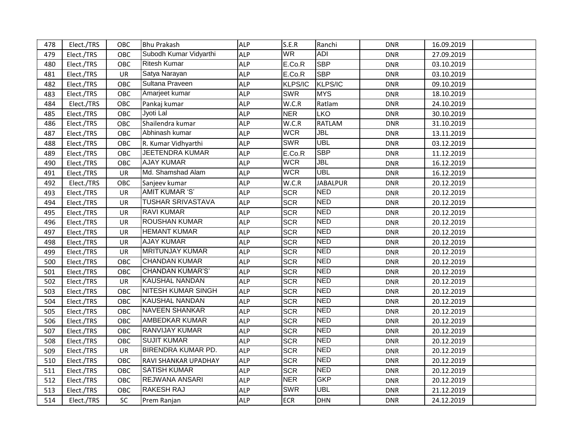| 478 | Elect./TRS | OBC       | Bhu Prakash               | <b>ALP</b> | S.E.R      | Ranchi          | <b>DNR</b> | 16.09.2019 |  |
|-----|------------|-----------|---------------------------|------------|------------|-----------------|------------|------------|--|
| 479 | Elect./TRS | OBC       | Subodh Kumar Vidyarthi    | <b>ALP</b> | <b>WR</b>  | <b>ADI</b>      | <b>DNR</b> | 27.09.2019 |  |
| 480 | Elect./TRS | OBC       | <b>Ritesh Kumar</b>       | <b>ALP</b> | E.Co.R     | <b>SBP</b>      | <b>DNR</b> | 03.10.2019 |  |
| 481 | Elect./TRS | <b>UR</b> | Satya Narayan             | <b>ALP</b> | E.Co.R     | <b>SBP</b>      | <b>DNR</b> | 03.10.2019 |  |
| 482 | Elect./TRS | OBC       | Sultana Praveen           | <b>ALP</b> | KLPS/IC    | KLPS/IC         | <b>DNR</b> | 09.10.2019 |  |
| 483 | Elect./TRS | OBC       | Amarjeet kumar            | <b>ALP</b> | <b>SWR</b> | <b>MYS</b>      | <b>DNR</b> | 18.10.2019 |  |
| 484 | Elect./TRS | OBC       | Pankaj kumar              | <b>ALP</b> | W.C.R      | Ratlam          | <b>DNR</b> | 24.10.2019 |  |
| 485 | Elect./TRS | OBC       | Jyoti Lal                 | <b>ALP</b> | <b>NER</b> | LKO             | <b>DNR</b> | 30.10.2019 |  |
| 486 | Elect./TRS | OBC       | Shailendra kumar          | <b>ALP</b> | W.C.R      | <b>RATLAM</b>   | <b>DNR</b> | 31.10.2019 |  |
| 487 | Elect./TRS | OBC       | Abhinash kumar            | <b>ALP</b> | <b>WCR</b> | <b>JBL</b>      | <b>DNR</b> | 13.11.2019 |  |
| 488 | Elect./TRS | OBC       | R. Kumar Vidhyarthi       | <b>ALP</b> | <b>SWR</b> | <b>UBL</b>      | <b>DNR</b> | 03.12.2019 |  |
| 489 | Elect./TRS | OBC       | <b>JEETENDRA KUMAR</b>    | <b>ALP</b> | E.Co.R     | <b>SBP</b>      | <b>DNR</b> | 11.12.2019 |  |
| 490 | Elect./TRS | OBC       | <b>AJAY KUMAR</b>         | <b>ALP</b> | <b>WCR</b> | JBL             | <b>DNR</b> | 16.12.2019 |  |
| 491 | Elect./TRS | <b>UR</b> | Md. Shamshad Alam         | <b>ALP</b> | <b>WCR</b> | <b>UBL</b>      | <b>DNR</b> | 16.12.2019 |  |
| 492 | Elect./TRS | OBC       | Sanjeev kumar             | <b>ALP</b> | W.C.R      | <b>JABALPUR</b> | <b>DNR</b> | 20.12.2019 |  |
| 493 | Elect./TRS | UR        | <b>AMIT KUMAR 'S'</b>     | <b>ALP</b> | <b>SCR</b> | <b>NED</b>      | <b>DNR</b> | 20.12.2019 |  |
| 494 | Elect./TRS | UR        | <b>TUSHAR SRIVASTAVA</b>  | <b>ALP</b> | <b>SCR</b> | <b>NED</b>      | <b>DNR</b> | 20.12.2019 |  |
| 495 | Elect./TRS | UR        | <b>RAVI KUMAR</b>         | <b>ALP</b> | <b>SCR</b> | <b>NED</b>      | <b>DNR</b> | 20.12.2019 |  |
| 496 | Elect./TRS | <b>UR</b> | <b>ROUSHAN KUMAR</b>      | <b>ALP</b> | <b>SCR</b> | <b>NED</b>      | <b>DNR</b> | 20.12.2019 |  |
| 497 | Elect./TRS | <b>UR</b> | <b>HEMANT KUMAR</b>       | <b>ALP</b> | <b>SCR</b> | <b>NED</b>      | <b>DNR</b> | 20.12.2019 |  |
| 498 | Elect./TRS | <b>UR</b> | <b>AJAY KUMAR</b>         | <b>ALP</b> | <b>SCR</b> | <b>NED</b>      | <b>DNR</b> | 20.12.2019 |  |
| 499 | Elect./TRS | <b>UR</b> | <b>MRITUNJAY KUMAR</b>    | <b>ALP</b> | <b>SCR</b> | <b>NED</b>      | <b>DNR</b> | 20.12.2019 |  |
| 500 | Elect./TRS | OBC       | <b>CHANDAN KUMAR</b>      | <b>ALP</b> | <b>SCR</b> | <b>NED</b>      | <b>DNR</b> | 20.12.2019 |  |
| 501 | Elect./TRS | OBC       | <b>CHANDAN KUMAR'S'</b>   | <b>ALP</b> | <b>SCR</b> | <b>NED</b>      | <b>DNR</b> | 20.12.2019 |  |
| 502 | Elect./TRS | UR        | <b>KAUSHAL NANDAN</b>     | <b>ALP</b> | <b>SCR</b> | <b>NED</b>      | <b>DNR</b> | 20.12.2019 |  |
| 503 | Elect./TRS | OBC       | <b>NITESH KUMAR SINGH</b> | <b>ALP</b> | <b>SCR</b> | <b>NED</b>      | <b>DNR</b> | 20.12.2019 |  |
| 504 | Elect./TRS | OBC       | <b>KAUSHAL NANDAN</b>     | <b>ALP</b> | <b>SCR</b> | <b>NED</b>      | <b>DNR</b> | 20.12.2019 |  |
| 505 | Elect./TRS | OBC       | <b>NAVEEN SHANKAR</b>     | <b>ALP</b> | <b>SCR</b> | <b>NED</b>      | <b>DNR</b> | 20.12.2019 |  |
| 506 | Elect./TRS | OBC       | <b>AMBEDKAR KUMAR</b>     | <b>ALP</b> | <b>SCR</b> | <b>NED</b>      | <b>DNR</b> | 20.12.2019 |  |
| 507 | Elect./TRS | OBC       | <b>RANVIJAY KUMAR</b>     | <b>ALP</b> | <b>SCR</b> | <b>NED</b>      | <b>DNR</b> | 20.12.2019 |  |
| 508 | Elect./TRS | OBC       | <b>SUJIT KUMAR</b>        | <b>ALP</b> | <b>SCR</b> | <b>NED</b>      | <b>DNR</b> | 20.12.2019 |  |
| 509 | Elect./TRS | UR        | <b>BIRENDRA KUMAR PD.</b> | <b>ALP</b> | <b>SCR</b> | <b>NED</b>      | <b>DNR</b> | 20.12.2019 |  |
| 510 | Elect./TRS | OBC       | RAVI SHANKAR UPADHAY      | <b>ALP</b> | <b>SCR</b> | <b>NED</b>      | <b>DNR</b> | 20.12.2019 |  |
| 511 | Elect./TRS | OBC       | <b>SATISH KUMAR</b>       | <b>ALP</b> | <b>SCR</b> | <b>NED</b>      | <b>DNR</b> | 20.12.2019 |  |
| 512 | Elect./TRS | OBC       | <b>REJWANA ANSARI</b>     | <b>ALP</b> | <b>NER</b> | <b>GKP</b>      | <b>DNR</b> | 20.12.2019 |  |
| 513 | Elect./TRS | OBC       | <b>RAKESH RAJ</b>         | <b>ALP</b> | <b>SWR</b> | <b>UBL</b>      | <b>DNR</b> | 21.12.2019 |  |
| 514 | Elect./TRS | <b>SC</b> | Prem Ranjan               | <b>ALP</b> | <b>ECR</b> | <b>DHN</b>      | <b>DNR</b> | 24.12.2019 |  |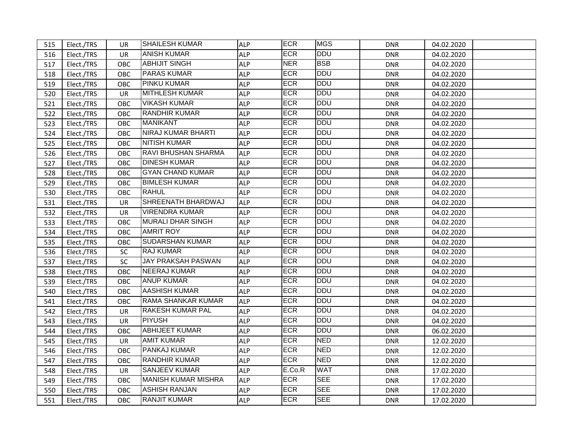| 515 | Elect./TRS | UR         | <b>SHAILESH KUMAR</b>      | <b>ALP</b> | <b>ECR</b> | <b>MGS</b> | <b>DNR</b> | 04.02.2020 |
|-----|------------|------------|----------------------------|------------|------------|------------|------------|------------|
| 516 | Elect./TRS | UR.        | <b>ANISH KUMAR</b>         | <b>ALP</b> | <b>ECR</b> | <b>DDU</b> | <b>DNR</b> | 04.02.2020 |
| 517 | Elect./TRS | OBC        | <b>ABHIJIT SINGH</b>       | <b>ALP</b> | <b>NER</b> | <b>BSB</b> | <b>DNR</b> | 04.02.2020 |
| 518 | Elect./TRS | <b>OBC</b> | <b>PARAS KUMAR</b>         | <b>ALP</b> | <b>ECR</b> | <b>DDU</b> | <b>DNR</b> | 04.02.2020 |
| 519 | Elect./TRS | <b>OBC</b> | PINKU KUMAR                | <b>ALP</b> | ECR        | <b>DDU</b> | <b>DNR</b> | 04.02.2020 |
| 520 | Elect./TRS | <b>UR</b>  | <b>MITHLESH KUMAR</b>      | <b>ALP</b> | <b>ECR</b> | <b>DDU</b> | <b>DNR</b> | 04.02.2020 |
| 521 | Elect./TRS | OBC        | <b>VIKASH KUMAR</b>        | <b>ALP</b> | <b>ECR</b> | <b>DDU</b> | <b>DNR</b> | 04.02.2020 |
| 522 | Elect./TRS | OBC        | <b>RANDHIR KUMAR</b>       | <b>ALP</b> | <b>ECR</b> | <b>DDU</b> | <b>DNR</b> | 04.02.2020 |
| 523 | Elect./TRS | OBC        | <b>MANIKANT</b>            | <b>ALP</b> | <b>ECR</b> | <b>DDU</b> | <b>DNR</b> | 04.02.2020 |
| 524 | Elect./TRS | OBC        | <b>NIRAJ KUMAR BHARTI</b>  | ALP        | <b>ECR</b> | <b>DDU</b> | <b>DNR</b> | 04.02.2020 |
| 525 | Elect./TRS | <b>OBC</b> | <b>NITISH KUMAR</b>        | ALP        | ECR        | <b>DDU</b> | <b>DNR</b> | 04.02.2020 |
| 526 | Elect./TRS | <b>OBC</b> | <b>RAVI BHUSHAN SHARMA</b> | <b>ALP</b> | <b>ECR</b> | <b>DDU</b> | <b>DNR</b> | 04.02.2020 |
| 527 | Elect./TRS | <b>OBC</b> | <b>DINESH KUMAR</b>        | <b>ALP</b> | <b>ECR</b> | <b>DDU</b> | <b>DNR</b> | 04.02.2020 |
| 528 | Elect./TRS | <b>OBC</b> | <b>GYAN CHAND KUMAR</b>    | <b>ALP</b> | <b>ECR</b> | <b>DDU</b> | <b>DNR</b> | 04.02.2020 |
| 529 | Elect./TRS | OBC        | <b>BIMLESH KUMAR</b>       | <b>ALP</b> | <b>ECR</b> | <b>DDU</b> | <b>DNR</b> | 04.02.2020 |
| 530 | Elect./TRS | OBC        | <b>RAHUL</b>               | <b>ALP</b> | <b>ECR</b> | <b>DDU</b> | <b>DNR</b> | 04.02.2020 |
| 531 | Elect./TRS | UR         | SHREENATH BHARDWAJ         | <b>ALP</b> | ECR        | <b>DDU</b> | <b>DNR</b> | 04.02.2020 |
| 532 | Elect./TRS | UR         | <b>VIRENDRA KUMAR</b>      | <b>ALP</b> | ECR        | <b>DDU</b> | <b>DNR</b> | 04.02.2020 |
| 533 | Elect./TRS | OBC        | <b>MURALI DHAR SINGH</b>   | <b>ALP</b> | <b>ECR</b> | DDU        | <b>DNR</b> | 04.02.2020 |
| 534 | Elect./TRS | <b>OBC</b> | <b>AMRIT ROY</b>           | <b>ALP</b> | <b>ECR</b> | DDU        | <b>DNR</b> | 04.02.2020 |
| 535 | Elect./TRS | OBC        | <b>SUDARSHAN KUMAR</b>     | <b>ALP</b> | <b>ECR</b> | <b>DDU</b> | <b>DNR</b> | 04.02.2020 |
| 536 | Elect./TRS | <b>SC</b>  | <b>RAJ KUMAR</b>           | <b>ALP</b> | <b>ECR</b> | <b>DDU</b> | <b>DNR</b> | 04.02.2020 |
| 537 | Elect./TRS | <b>SC</b>  | <b>JAY PRAKSAH PASWAN</b>  | <b>ALP</b> | ECR        | <b>DDU</b> | <b>DNR</b> | 04.02.2020 |
| 538 | Elect./TRS | OBC        | <b>NEERAJ KUMAR</b>        | <b>ALP</b> | ECR        | <b>DDU</b> | <b>DNR</b> | 04.02.2020 |
| 539 | Elect./TRS | OBC        | <b>ANUP KUMAR</b>          | <b>ALP</b> | <b>ECR</b> | <b>DDU</b> | <b>DNR</b> | 04.02.2020 |
| 540 | Elect./TRS | OBC        | <b>AASHISH KUMAR</b>       | <b>ALP</b> | <b>ECR</b> | DDU        | <b>DNR</b> | 04.02.2020 |
| 541 | Elect./TRS | OBC        | <b>RAMA SHANKAR KUMAR</b>  | <b>ALP</b> | <b>ECR</b> | DDU        | <b>DNR</b> | 04.02.2020 |
| 542 | Elect./TRS | <b>UR</b>  | <b>RAKESH KUMAR PAL</b>    | <b>ALP</b> | <b>ECR</b> | DDU        | <b>DNR</b> | 04.02.2020 |
| 543 | Elect./TRS | <b>UR</b>  | <b>PIYUSH</b>              | <b>ALP</b> | <b>ECR</b> | <b>DDU</b> | <b>DNR</b> | 04.02.2020 |
| 544 | Elect./TRS | OBC        | <b>ABHIJEET KUMAR</b>      | <b>ALP</b> | <b>ECR</b> | DDU        | <b>DNR</b> | 06.02.2020 |
| 545 | Elect./TRS | UR         | <b>AMIT KUMAR</b>          | <b>ALP</b> | <b>ECR</b> | <b>NED</b> | <b>DNR</b> | 12.02.2020 |
| 546 | Elect./TRS | OBC        | PANKAJ KUMAR               | <b>ALP</b> | <b>ECR</b> | <b>NED</b> | <b>DNR</b> | 12.02.2020 |
| 547 | Elect./TRS | OBC        | <b>RANDHIR KUMAR</b>       | <b>ALP</b> | <b>ECR</b> | <b>NED</b> | <b>DNR</b> | 12.02.2020 |
| 548 | Elect./TRS | UR         | <b>SANJEEV KUMAR</b>       | <b>ALP</b> | E.Co.R     | <b>WAT</b> | <b>DNR</b> | 17.02.2020 |
| 549 | Elect./TRS | OBC        | <b>MANISH KUMAR MISHRA</b> | <b>ALP</b> | <b>ECR</b> | <b>SEE</b> | <b>DNR</b> | 17.02.2020 |
| 550 | Elect./TRS | <b>OBC</b> | <b>ASHISH RANJAN</b>       | <b>ALP</b> | <b>ECR</b> | <b>SEE</b> | <b>DNR</b> | 17.02.2020 |
| 551 | Elect./TRS | <b>OBC</b> | <b>RANJIT KUMAR</b>        | <b>ALP</b> | <b>ECR</b> | <b>SEE</b> | <b>DNR</b> | 17.02.2020 |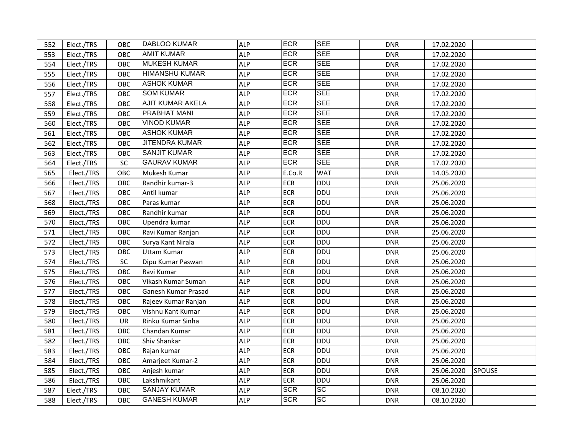| 552 | Elect./TRS | OBC        | IDABLOO KUMAR         | <b>ALP</b> | <b>ECR</b> | <b>SEE</b> | <b>DNR</b> | 17.02.2020 |               |
|-----|------------|------------|-----------------------|------------|------------|------------|------------|------------|---------------|
| 553 | Elect./TRS | OBC        | <b>AMIT KUMAR</b>     | <b>ALP</b> | <b>ECR</b> | <b>SEE</b> | <b>DNR</b> | 17.02.2020 |               |
| 554 | Elect./TRS | OBC        | <b>MUKESH KUMAR</b>   | <b>ALP</b> | <b>ECR</b> | <b>SEE</b> | <b>DNR</b> | 17.02.2020 |               |
| 555 | Elect./TRS | OBC        | <b>HIMANSHU KUMAR</b> | <b>ALP</b> | <b>ECR</b> | <b>SEE</b> | <b>DNR</b> | 17.02.2020 |               |
| 556 | Elect./TRS | OBC        | <b>ASHOK KUMAR</b>    | <b>ALP</b> | <b>ECR</b> | <b>SEE</b> | <b>DNR</b> | 17.02.2020 |               |
| 557 | Elect./TRS | OBC        | <b>SOM KUMAR</b>      | <b>ALP</b> | <b>ECR</b> | <b>SEE</b> | <b>DNR</b> | 17.02.2020 |               |
| 558 | Elect./TRS | OBC        | AJIT KUMAR AKELA      | <b>ALP</b> | <b>ECR</b> | <b>SEE</b> | <b>DNR</b> | 17.02.2020 |               |
| 559 | Elect./TRS | OBC        | PRABHAT MANI          | <b>ALP</b> | <b>ECR</b> | <b>SEE</b> | DNR        | 17.02.2020 |               |
| 560 | Elect./TRS | OBC        | <b>VINOD KUMAR</b>    | <b>ALP</b> | <b>ECR</b> | <b>SEE</b> | <b>DNR</b> | 17.02.2020 |               |
| 561 | Elect./TRS | OBC        | <b>ASHOK KUMAR</b>    | <b>ALP</b> | <b>ECR</b> | <b>SEE</b> | <b>DNR</b> | 17.02.2020 |               |
| 562 | Elect./TRS | OBC        | <b>JITENDRA KUMAR</b> | <b>ALP</b> | <b>ECR</b> | <b>SEE</b> | <b>DNR</b> | 17.02.2020 |               |
| 563 | Elect./TRS | OBC        | <b>SANJIT KUMAR</b>   | <b>ALP</b> | <b>ECR</b> | <b>SEE</b> | <b>DNR</b> | 17.02.2020 |               |
| 564 | Elect./TRS | SC         | <b>GAURAV KUMAR</b>   | <b>ALP</b> | <b>ECR</b> | <b>SEE</b> | <b>DNR</b> | 17.02.2020 |               |
| 565 | Elect./TRS | OBC        | Mukesh Kumar          | <b>ALP</b> | E.Co.R     | <b>WAT</b> | <b>DNR</b> | 14.05.2020 |               |
| 566 | Elect./TRS | OBC        | Randhir kumar-3       | <b>ALP</b> | <b>ECR</b> | <b>DDU</b> | <b>DNR</b> | 25.06.2020 |               |
| 567 | Elect./TRS | OBC        | Antil kumar           | <b>ALP</b> | <b>ECR</b> | <b>DDU</b> | <b>DNR</b> | 25.06.2020 |               |
| 568 | Elect./TRS | OBC        | Paras kumar           | <b>ALP</b> | <b>ECR</b> | <b>DDU</b> | <b>DNR</b> | 25.06.2020 |               |
| 569 | Elect./TRS | OBC        | Randhir kumar         | <b>ALP</b> | <b>ECR</b> | DDU        | <b>DNR</b> | 25.06.2020 |               |
| 570 | Elect./TRS | OBC        | Upendra kumar         | <b>ALP</b> | <b>ECR</b> | DDU        | <b>DNR</b> | 25.06.2020 |               |
| 571 | Elect./TRS | OBC        | Ravi Kumar Ranjan     | <b>ALP</b> | <b>ECR</b> | <b>DDU</b> | <b>DNR</b> | 25.06.2020 |               |
| 572 | Elect./TRS | OBC        | Surya Kant Nirala     | <b>ALP</b> | <b>ECR</b> | <b>DDU</b> | <b>DNR</b> | 25.06.2020 |               |
| 573 | Elect./TRS | OBC        | <b>Uttam Kumar</b>    | <b>ALP</b> | <b>ECR</b> | <b>DDU</b> | <b>DNR</b> | 25.06.2020 |               |
| 574 | Elect./TRS | <b>SC</b>  | Dipu Kumar Paswan     | <b>ALP</b> | <b>ECR</b> | <b>DDU</b> | <b>DNR</b> | 25.06.2020 |               |
| 575 | Elect./TRS | OBC        | Ravi Kumar            | <b>ALP</b> | <b>ECR</b> | DDU        | <b>DNR</b> | 25.06.2020 |               |
| 576 | Elect./TRS | OBC        | Vikash Kumar Suman    | <b>ALP</b> | <b>ECR</b> | DDU        | <b>DNR</b> | 25.06.2020 |               |
| 577 | Elect./TRS | OBC        | Ganesh Kumar Prasad   | <b>ALP</b> | <b>ECR</b> | <b>DDU</b> | <b>DNR</b> | 25.06.2020 |               |
| 578 | Elect./TRS | OBC        | Rajeev Kumar Ranjan   | <b>ALP</b> | <b>ECR</b> | DDU        | <b>DNR</b> | 25.06.2020 |               |
| 579 | Elect./TRS | OBC        | Vishnu Kant Kumar     | <b>ALP</b> | <b>ECR</b> | DDU        | <b>DNR</b> | 25.06.2020 |               |
| 580 | Elect./TRS | UR         | Rinku Kumar Sinha     | <b>ALP</b> | <b>ECR</b> | DDU        | <b>DNR</b> | 25.06.2020 |               |
| 581 | Elect./TRS | OBC        | Chandan Kumar         | <b>ALP</b> | <b>ECR</b> | DDU        | <b>DNR</b> | 25.06.2020 |               |
| 582 | Elect./TRS | OBC        | Shiv Shankar          | <b>ALP</b> | <b>ECR</b> | DDU        | <b>DNR</b> | 25.06.2020 |               |
| 583 | Elect./TRS | OBC        | Rajan kumar           | <b>ALP</b> | <b>ECR</b> | <b>DDU</b> | <b>DNR</b> | 25.06.2020 |               |
| 584 | Elect./TRS | OBC        | Amarjeet Kumar-2      | <b>ALP</b> | <b>ECR</b> | <b>DDU</b> | <b>DNR</b> | 25.06.2020 |               |
| 585 | Elect./TRS | OBC        | Anjesh kumar          | <b>ALP</b> | <b>ECR</b> | DDU        | <b>DNR</b> | 25.06.2020 | <b>SPOUSE</b> |
| 586 | Elect./TRS | <b>OBC</b> | Lakshmikant           | <b>ALP</b> | <b>ECR</b> | DDU        | DNR        | 25.06.2020 |               |
| 587 | Elect./TRS | OBC        | <b>SANJAY KUMAR</b>   | <b>ALP</b> | <b>SCR</b> | SC         | <b>DNR</b> | 08.10.2020 |               |
| 588 | Elect./TRS | <b>OBC</b> | <b>GANESH KUMAR</b>   | <b>ALP</b> | <b>SCR</b> | <b>SC</b>  | <b>DNR</b> | 08.10.2020 |               |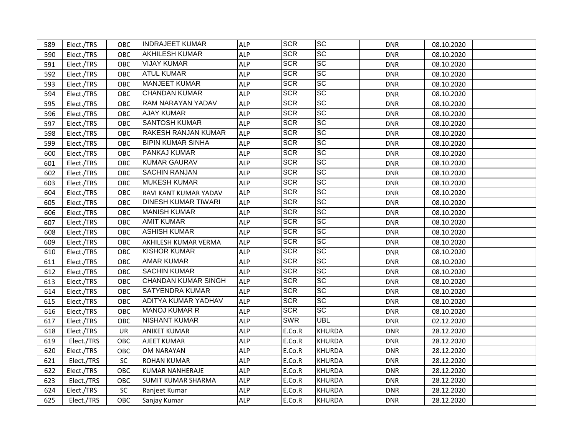| 589 | Elect./TRS | <b>OBC</b> | <b>INDRAJEET KUMAR</b>     | <b>ALP</b> | <b>SCR</b> | ISC               | <b>DNR</b> | 08.10.2020 |
|-----|------------|------------|----------------------------|------------|------------|-------------------|------------|------------|
| 590 | Elect./TRS | <b>OBC</b> | <b>AKHILESH KUMAR</b>      | <b>ALP</b> | <b>SCR</b> | <b>SC</b>         | <b>DNR</b> | 08.10.2020 |
| 591 | Elect./TRS | OBC        | <b>VIJAY KUMAR</b>         | <b>ALP</b> | <b>SCR</b> | <b>SC</b>         | <b>DNR</b> | 08.10.2020 |
| 592 | Elect./TRS | OBC        | <b>ATUL KUMAR</b>          | <b>ALP</b> | <b>SCR</b> | <b>SC</b>         | <b>DNR</b> | 08.10.2020 |
| 593 | Elect./TRS | OBC        | <b>MANJEET KUMAR</b>       | <b>ALP</b> | <b>SCR</b> | <b>SC</b>         | <b>DNR</b> | 08.10.2020 |
| 594 | Elect./TRS | OBC        | <b>CHANDAN KUMAR</b>       | <b>ALP</b> | <b>SCR</b> | <b>SC</b>         | <b>DNR</b> | 08.10.2020 |
| 595 | Elect./TRS | OBC        | <b>RAM NARAYAN YADAV</b>   | <b>ALP</b> | <b>SCR</b> | <b>SC</b>         | <b>DNR</b> | 08.10.2020 |
| 596 | Elect./TRS | OBC        | <b>AJAY KUMAR</b>          | <b>ALP</b> | <b>SCR</b> | <b>SC</b>         | <b>DNR</b> | 08.10.2020 |
| 597 | Elect./TRS | OBC        | <b>SANTOSH KUMAR</b>       | <b>ALP</b> | <b>SCR</b> | <b>SC</b>         | <b>DNR</b> | 08.10.2020 |
| 598 | Elect./TRS | OBC        | RAKESH RANJAN KUMAR        | <b>ALP</b> | <b>SCR</b> | <b>SC</b>         | <b>DNR</b> | 08.10.2020 |
| 599 | Elect./TRS | OBC        | <b>BIPIN KUMAR SINHA</b>   | <b>ALP</b> | <b>SCR</b> | <b>SC</b>         | <b>DNR</b> | 08.10.2020 |
| 600 | Elect./TRS | OBC        | <b>PANKAJ KUMAR</b>        | <b>ALP</b> | <b>SCR</b> | <b>SC</b>         | DNR        | 08.10.2020 |
| 601 | Elect./TRS | OBC        | <b>KUMAR GAURAV</b>        | <b>ALP</b> | <b>SCR</b> | $ \overline{SC} $ | DNR        | 08.10.2020 |
| 602 | Elect./TRS | OBC        | <b>SACHIN RANJAN</b>       | <b>ALP</b> | <b>SCR</b> | <b>SC</b>         | DNR        | 08.10.2020 |
| 603 | Elect./TRS | OBC        | <b>MUKESH KUMAR</b>        | <b>ALP</b> | <b>SCR</b> | $ \overline{SC} $ | DNR        | 08.10.2020 |
| 604 | Elect./TRS | OBC        | RAVI KANT KUMAR YADAV      | ALP        | <b>SCR</b> | $ \overline{SC} $ | <b>DNR</b> | 08.10.2020 |
| 605 | Elect./TRS | OBC        | <b>DINESH KUMAR TIWARI</b> | <b>ALP</b> | <b>SCR</b> | <b>SC</b>         | <b>DNR</b> | 08.10.2020 |
| 606 | Elect./TRS | OBC        | <b>MANISH KUMAR</b>        | <b>ALP</b> | <b>SCR</b> | <b>SC</b>         | <b>DNR</b> | 08.10.2020 |
| 607 | Elect./TRS | OBC        | <b>AMIT KUMAR</b>          | <b>ALP</b> | <b>SCR</b> | <b>SC</b>         | <b>DNR</b> | 08.10.2020 |
| 608 | Elect./TRS | OBC        | <b>ASHISH KUMAR</b>        | <b>ALP</b> | <b>SCR</b> | $ \overline{SC} $ | <b>DNR</b> | 08.10.2020 |
| 609 | Elect./TRS | OBC        | AKHILESH KUMAR VERMA       | <b>ALP</b> | <b>SCR</b> | $ \overline{SC} $ | <b>DNR</b> | 08.10.2020 |
| 610 | Elect./TRS | OBC        | <b>KISHOR KUMAR</b>        | <b>ALP</b> | <b>SCR</b> | $ \overline{SC} $ | <b>DNR</b> | 08.10.2020 |
| 611 | Elect./TRS | OBC        | <b>AMAR KUMAR</b>          | <b>ALP</b> | <b>SCR</b> | <b>SC</b>         | <b>DNR</b> | 08.10.2020 |
| 612 | Elect./TRS | OBC        | <b>SACHIN KUMAR</b>        | <b>ALP</b> | <b>SCR</b> | <b>SC</b>         | <b>DNR</b> | 08.10.2020 |
| 613 | Elect./TRS | OBC        | <b>CHANDAN KUMAR SINGH</b> | <b>ALP</b> | <b>SCR</b> | $ \overline{SC} $ | <b>DNR</b> | 08.10.2020 |
| 614 | Elect./TRS | <b>OBC</b> | <b>SATYENDRA KUMAR</b>     | <b>ALP</b> | <b>SCR</b> | <b>SC</b>         | <b>DNR</b> | 08.10.2020 |
| 615 | Elect./TRS | OBC        | ADITYA KUMAR YADHAV        | ALP        | <b>SCR</b> | <b>SC</b>         | <b>DNR</b> | 08.10.2020 |
| 616 | Elect./TRS | OBC        | <b>MANOJ KUMAR R</b>       | <b>ALP</b> | <b>SCR</b> | <b>SC</b>         | <b>DNR</b> | 08.10.2020 |
| 617 | Elect./TRS | OBC        | <b>NISHANT KUMAR</b>       | <b>ALP</b> | <b>SWR</b> | <b>UBL</b>        | <b>DNR</b> | 02.12.2020 |
| 618 | Elect./TRS | UR         | <b>ANIKET KUMAR</b>        | <b>ALP</b> | E.Co.R     | KHURDA            | <b>DNR</b> | 28.12.2020 |
| 619 | Elect./TRS | OBC        | <b>AJEET KUMAR</b>         | <b>ALP</b> | E.Co.R     | <b>KHURDA</b>     | <b>DNR</b> | 28.12.2020 |
| 620 | Elect./TRS | OBC        | <b>OM NARAYAN</b>          | <b>ALP</b> | E.Co.R     | <b>KHURDA</b>     | <b>DNR</b> | 28.12.2020 |
| 621 | Elect./TRS | <b>SC</b>  | <b>ROHAN KUMAR</b>         | <b>ALP</b> | E.Co.R     | <b>KHURDA</b>     | <b>DNR</b> | 28.12.2020 |
| 622 | Elect./TRS | OBC        | <b>KUMAR NANHERAJE</b>     | <b>ALP</b> | E.Co.R     | <b>KHURDA</b>     | <b>DNR</b> | 28.12.2020 |
| 623 | Elect./TRS | OBC        | <b>SUMIT KUMAR SHARMA</b>  | <b>ALP</b> | E.Co.R     | <b>KHURDA</b>     | <b>DNR</b> | 28.12.2020 |
| 624 | Elect./TRS | <b>SC</b>  | Ranjeet Kumar              | ALP        | E.Co.R     | <b>KHURDA</b>     | <b>DNR</b> | 28.12.2020 |
| 625 | Elect./TRS | <b>OBC</b> | Sanjay Kumar               | ALP        | E.Co.R     | <b>KHURDA</b>     | <b>DNR</b> | 28.12.2020 |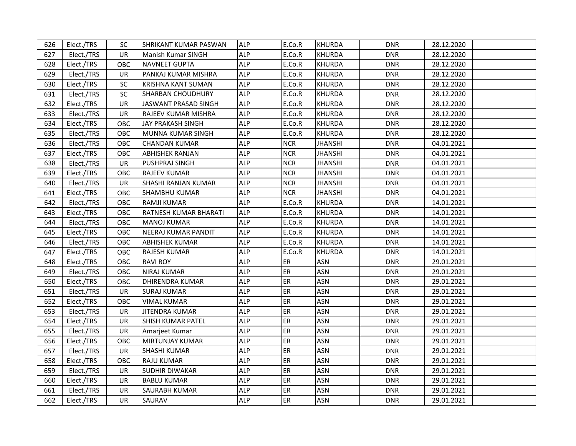| 626 | Elect./TRS | SC.        | ISHRIKANT KUMAR PASWAN   | <b>ALP</b> | E.Co.R     | <b>KHURDA</b>  | <b>DNR</b> | 28.12.2020 |
|-----|------------|------------|--------------------------|------------|------------|----------------|------------|------------|
| 627 | Elect./TRS | UR.        | Manish Kumar SINGH       | <b>ALP</b> | E.Co.R     | <b>KHURDA</b>  | <b>DNR</b> | 28.12.2020 |
| 628 | Elect./TRS | OBC        | <b>NAVNEET GUPTA</b>     | <b>ALP</b> | E.Co.R     | <b>KHURDA</b>  | <b>DNR</b> | 28.12.2020 |
| 629 | Elect./TRS | <b>UR</b>  | PANKAJ KUMAR MISHRA      | <b>ALP</b> | E.Co.R     | <b>KHURDA</b>  | <b>DNR</b> | 28.12.2020 |
| 630 | Elect./TRS | SC.        | KRISHNA KANT SUMAN       | ALP        | E.Co.R     | <b>KHURDA</b>  | <b>DNR</b> | 28.12.2020 |
| 631 | Elect./TRS | <b>SC</b>  | <b>SHARBAN CHOUDHURY</b> | <b>ALP</b> | E.Co.R     | <b>KHURDA</b>  | <b>DNR</b> | 28.12.2020 |
| 632 | Elect./TRS | UR         | JASWANT PRASAD SINGH     | ALP        | E.Co.R     | <b>KHURDA</b>  | <b>DNR</b> | 28.12.2020 |
| 633 | Elect./TRS | UR.        | RAJEEV KUMAR MISHRA      | <b>ALP</b> | E.Co.R     | <b>KHURDA</b>  | <b>DNR</b> | 28.12.2020 |
| 634 | Elect./TRS | ОВС        | JAY PRAKASH SINGH        | <b>ALP</b> | E.Co.R     | <b>KHURDA</b>  | <b>DNR</b> | 28.12.2020 |
| 635 | Elect./TRS | OBC        | MUNNA KUMAR SINGH        | <b>ALP</b> | E.Co.R     | <b>KHURDA</b>  | <b>DNR</b> | 28.12.2020 |
| 636 | Elect./TRS | OBC        | <b>CHANDAN KUMAR</b>     | <b>ALP</b> | <b>NCR</b> | <b>JHANSHI</b> | <b>DNR</b> | 04.01.2021 |
| 637 | Elect./TRS | OBC        | <b>ABHISHEK RANJAN</b>   | <b>ALP</b> | <b>NCR</b> | <b>JHANSHI</b> | <b>DNR</b> | 04.01.2021 |
| 638 | Elect./TRS | UR         | PUSHPRAJ SINGH           | <b>ALP</b> | <b>NCR</b> | <b>JHANSHI</b> | DNR        | 04.01.2021 |
| 639 | Elect./TRS | ОВС        | <b>RAJEEV KUMAR</b>      | <b>ALP</b> | <b>NCR</b> | <b>JHANSHI</b> | DNR        | 04.01.2021 |
| 640 | Elect./TRS | UR         | SHASHI RANJAN KUMAR      | <b>ALP</b> | <b>NCR</b> | <b>JHANSHI</b> | DNR        | 04.01.2021 |
| 641 | Elect./TRS | OBC        | SHAMBHU KUMAR            | ALP        | <b>NCR</b> | <b>JHANSHI</b> | <b>DNR</b> | 04.01.2021 |
| 642 | Elect./TRS | OBC        | RAMJI KUMAR              | <b>ALP</b> | E.Co.R     | <b>KHURDA</b>  | <b>DNR</b> | 14.01.2021 |
| 643 | Elect./TRS | <b>OBC</b> | RATNESH KUMAR BHARATI    | <b>ALP</b> | E.Co.R     | <b>KHURDA</b>  | <b>DNR</b> | 14.01.2021 |
| 644 | Elect./TRS | OBC        | <b>MANOJ KUMAR</b>       | <b>ALP</b> | E.Co.R     | <b>KHURDA</b>  | <b>DNR</b> | 14.01.2021 |
| 645 | Elect./TRS | OBC        | NEERAJ KUMAR PANDIT      | <b>ALP</b> | E.Co.R     | <b>KHURDA</b>  | <b>DNR</b> | 14.01.2021 |
| 646 | Elect./TRS | OBC        | <b>ABHISHEK KUMAR</b>    | <b>ALP</b> | E.Co.R     | <b>KHURDA</b>  | <b>DNR</b> | 14.01.2021 |
| 647 | Elect./TRS | OBC        | <b>RAJESH KUMAR</b>      | <b>ALP</b> | E.Co.R     | <b>KHURDA</b>  | <b>DNR</b> | 14.01.2021 |
| 648 | Elect./TRS | <b>OBC</b> | <b>RAVI ROY</b>          | <b>ALP</b> | ER         | <b>ASN</b>     | <b>DNR</b> | 29.01.2021 |
| 649 | Elect./TRS | OBC        | <b>NIRAJ KUMAR</b>       | <b>ALP</b> | ER         | <b>ASN</b>     | <b>DNR</b> | 29.01.2021 |
| 650 | Elect./TRS | OBC        | <b>DHIRENDRA KUMAR</b>   | <b>ALP</b> | ER         | <b>ASN</b>     | <b>DNR</b> | 29.01.2021 |
| 651 | Elect./TRS | UR         | <b>SURAJ KUMAR</b>       | <b>ALP</b> | ER         | <b>ASN</b>     | <b>DNR</b> | 29.01.2021 |
| 652 | Elect./TRS | OBC        | <b>VIMAL KUMAR</b>       | <b>ALP</b> | ER         | <b>ASN</b>     | <b>DNR</b> | 29.01.2021 |
| 653 | Elect./TRS | UR         | JITENDRA KUMAR           | <b>ALP</b> | ER         | ASN            | <b>DNR</b> | 29.01.2021 |
| 654 | Elect./TRS | <b>UR</b>  | SHISH KUMAR PATEL        | <b>ALP</b> | <b>ER</b>  | <b>ASN</b>     | <b>DNR</b> | 29.01.2021 |
| 655 | Elect./TRS | UR         | Amarjeet Kumar           | ALP        | ER         | <b>ASN</b>     | <b>DNR</b> | 29.01.2021 |
| 656 | Elect./TRS | OBC        | <b>MIRTUNJAY KUMAR</b>   | <b>ALP</b> | <b>ER</b>  | <b>ASN</b>     | <b>DNR</b> | 29.01.2021 |
| 657 | Elect./TRS | UR.        | <b>SHASHI KUMAR</b>      | <b>ALP</b> | ER         | <b>ASN</b>     | <b>DNR</b> | 29.01.2021 |
| 658 | Elect./TRS | OBC        | <b>RAJU KUMAR</b>        | <b>ALP</b> | ER         | <b>ASN</b>     | <b>DNR</b> | 29.01.2021 |
| 659 | Elect./TRS | UR         | <b>SUDHIR DIWAKAR</b>    | <b>ALP</b> | ER         | ASN            | <b>DNR</b> | 29.01.2021 |
| 660 | Elect./TRS | UR.        | <b>BABLU KUMAR</b>       | <b>ALP</b> | ER         | <b>ASN</b>     | <b>DNR</b> | 29.01.2021 |
| 661 | Elect./TRS | <b>UR</b>  | <b>SAURABH KUMAR</b>     | ALP        | ER         | <b>ASN</b>     | <b>DNR</b> | 29.01.2021 |
| 662 | Elect./TRS | <b>UR</b>  | SAURAV                   | <b>ALP</b> | ER         | <b>ASN</b>     | <b>DNR</b> | 29.01.2021 |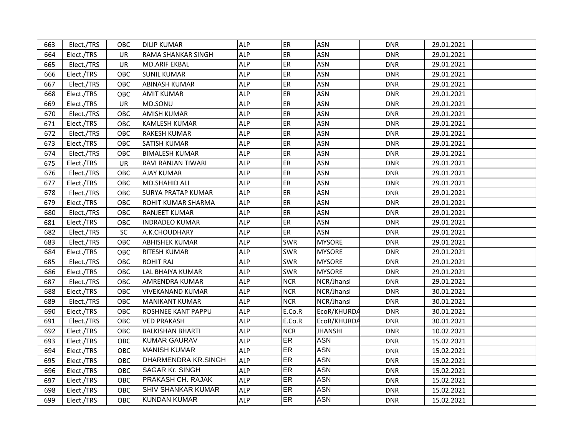| 663 | Elect./TRS | <b>OBC</b> | <b>DILIP KUMAR</b>        | <b>ALP</b> | <b>ER</b>  | <b>ASN</b>     | <b>DNR</b> | 29.01.2021 |  |
|-----|------------|------------|---------------------------|------------|------------|----------------|------------|------------|--|
| 664 | Elect./TRS | UR.        | RAMA SHANKAR SINGH        | <b>ALP</b> | ER         | <b>ASN</b>     | <b>DNR</b> | 29.01.2021 |  |
| 665 | Elect./TRS | UR         | <b>MD.ARIF EKBAL</b>      | <b>ALP</b> | ER         | <b>ASN</b>     | <b>DNR</b> | 29.01.2021 |  |
| 666 | Elect./TRS | OBC        | <b>SUNIL KUMAR</b>        | <b>ALP</b> | ER         | <b>ASN</b>     | <b>DNR</b> | 29.01.2021 |  |
| 667 | Elect./TRS | OBC        | <b>ABINASH KUMAR</b>      | <b>ALP</b> | ER         | <b>ASN</b>     | <b>DNR</b> | 29.01.2021 |  |
| 668 | Elect./TRS | OBC        | <b>AMIT KUMAR</b>         | <b>ALP</b> | <b>ER</b>  | <b>ASN</b>     | <b>DNR</b> | 29.01.2021 |  |
| 669 | Elect./TRS | UR         | MD.SONU                   | <b>ALP</b> | <b>ER</b>  | <b>ASN</b>     | <b>DNR</b> | 29.01.2021 |  |
| 670 | Elect./TRS | OBC        | AMISH KUMAR               | <b>ALP</b> | <b>ER</b>  | <b>ASN</b>     | <b>DNR</b> | 29.01.2021 |  |
| 671 | Elect./TRS | OBC        | KAMLESH KUMAR             | <b>ALP</b> | ER         | <b>ASN</b>     | <b>DNR</b> | 29.01.2021 |  |
| 672 | Elect./TRS | <b>OBC</b> | RAKESH KUMAR              | ALP        | ER         | <b>ASN</b>     | <b>DNR</b> | 29.01.2021 |  |
| 673 | Elect./TRS | OBC        | SATISH KUMAR              | <b>ALP</b> | ER         | <b>ASN</b>     | <b>DNR</b> | 29.01.2021 |  |
| 674 | Elect./TRS | OBC        | <b>BIMALESH KUMAR</b>     | <b>ALP</b> | ER         | <b>ASN</b>     | <b>DNR</b> | 29.01.2021 |  |
| 675 | Elect./TRS | <b>UR</b>  | RAVI RANJAN TIWARI        | <b>ALP</b> | ER         | <b>ASN</b>     | <b>DNR</b> | 29.01.2021 |  |
| 676 | Elect./TRS | OBC        | <b>AJAY KUMAR</b>         | <b>ALP</b> | <b>ER</b>  | <b>ASN</b>     | <b>DNR</b> | 29.01.2021 |  |
| 677 | Elect./TRS | OBC        | MD.SHAHID ALI             | <b>ALP</b> | <b>ER</b>  | <b>ASN</b>     | <b>DNR</b> | 29.01.2021 |  |
| 678 | Elect./TRS | OBC        | SURYA PRATAP KUMAR        | <b>ALP</b> | <b>ER</b>  | <b>ASN</b>     | <b>DNR</b> | 29.01.2021 |  |
| 679 | Elect./TRS | OBC        | ROHIT KUMAR SHARMA        | <b>ALP</b> | <b>ER</b>  | <b>ASN</b>     | DNR        | 29.01.2021 |  |
| 680 | Elect./TRS | OBC        | RANJEET KUMAR             | <b>ALP</b> | ER         | <b>ASN</b>     | <b>DNR</b> | 29.01.2021 |  |
| 681 | Elect./TRS | OBC        | <b>INDRADEO KUMAR</b>     | <b>ALP</b> | <b>ER</b>  | <b>ASN</b>     | <b>DNR</b> | 29.01.2021 |  |
| 682 | Elect./TRS | SC.        | A.K.CHOUDHARY             | <b>ALP</b> | <b>ER</b>  | ASN            | <b>DNR</b> | 29.01.2021 |  |
| 683 | Elect./TRS | OBC        | <b>ABHISHEK KUMAR</b>     | <b>ALP</b> | <b>SWR</b> | <b>MYSORE</b>  | <b>DNR</b> | 29.01.2021 |  |
| 684 | Elect./TRS | OBC        | <b>RITESH KUMAR</b>       | <b>ALP</b> | <b>SWR</b> | <b>MYSORE</b>  | <b>DNR</b> | 29.01.2021 |  |
| 685 | Elect./TRS | OBC        | <b>ROHIT RAJ</b>          | <b>ALP</b> | <b>SWR</b> | <b>MYSORE</b>  | <b>DNR</b> | 29.01.2021 |  |
| 686 | Elect./TRS | <b>OBC</b> | LAL BHAIYA KUMAR          | <b>ALP</b> | <b>SWR</b> | <b>MYSORE</b>  | <b>DNR</b> | 29.01.2021 |  |
| 687 | Elect./TRS | OBC        | <b>AMRENDRA KUMAR</b>     | <b>ALP</b> | <b>NCR</b> | NCR/Jhansi     | <b>DNR</b> | 29.01.2021 |  |
| 688 | Elect./TRS | OBC        | <b>VIVEKANAND KUMAR</b>   | <b>ALP</b> | <b>NCR</b> | NCR/Jhansi     | <b>DNR</b> | 30.01.2021 |  |
| 689 | Elect./TRS | OBC        | <b>MANIKANT KUMAR</b>     | <b>ALP</b> | <b>NCR</b> | NCR/Jhansi     | <b>DNR</b> | 30.01.2021 |  |
| 690 | Elect./TRS | OBC        | ROSHNEE KANT PAPPU        | <b>ALP</b> | E.Co.R     | EcoR/KHURDA    | <b>DNR</b> | 30.01.2021 |  |
| 691 | Elect./TRS | OBC        | <b>VED PRAKASH</b>        | <b>ALP</b> | E.Co.R     | EcoR/KHURDA    | <b>DNR</b> | 30.01.2021 |  |
| 692 | Elect./TRS | OBC        | <b>BALKISHAN BHARTI</b>   | <b>ALP</b> | <b>NCR</b> | <b>JHANSHI</b> | <b>DNR</b> | 10.02.2021 |  |
| 693 | Elect./TRS | OBC        | <b>KUMAR GAURAV</b>       | <b>ALP</b> | <b>ER</b>  | <b>ASN</b>     | <b>DNR</b> | 15.02.2021 |  |
| 694 | Elect./TRS | OBC        | <b>MANISH KUMAR</b>       | <b>ALP</b> | <b>ER</b>  | <b>ASN</b>     | <b>DNR</b> | 15.02.2021 |  |
| 695 | Elect./TRS | OBC        | DHARMENDRA KR.SINGH       | <b>ALP</b> | <b>ER</b>  | <b>ASN</b>     | <b>DNR</b> | 15.02.2021 |  |
| 696 | Elect./TRS | OBC        | <b>SAGAR Kr. SINGH</b>    | <b>ALP</b> | <b>ER</b>  | <b>ASN</b>     | <b>DNR</b> | 15.02.2021 |  |
| 697 | Elect./TRS | OBC        | PRAKASH CH. RAJAK         | <b>ALP</b> | <b>ER</b>  | <b>ASN</b>     | <b>DNR</b> | 15.02.2021 |  |
| 698 | Elect./TRS | <b>OBC</b> | <b>SHIV SHANKAR KUMAR</b> | <b>ALP</b> | <b>ER</b>  | <b>ASN</b>     | <b>DNR</b> | 15.02.2021 |  |
| 699 | Elect./TRS | OBC        | <b>KUNDAN KUMAR</b>       | <b>ALP</b> | <b>ER</b>  | <b>ASN</b>     | <b>DNR</b> | 15.02.2021 |  |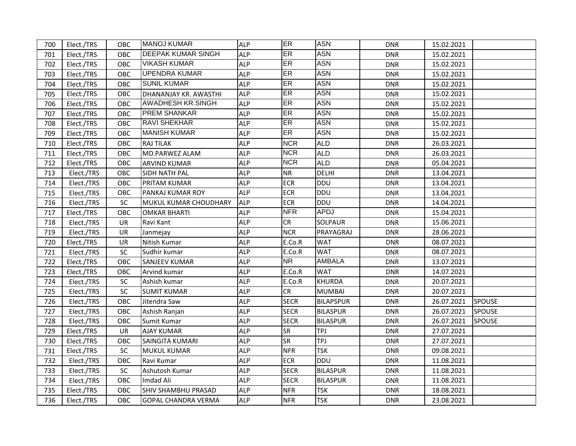| 700 | Elect./TRS | <b>OBC</b> | <b>MANOJ KUMAR</b>         | <b>ALP</b> | ER          | <b>ASN</b>       | <b>DNR</b> | 15.02.2021 |               |
|-----|------------|------------|----------------------------|------------|-------------|------------------|------------|------------|---------------|
| 701 | Elect./TRS | <b>OBC</b> | <b>DEEPAK KUMAR SINGH</b>  | ALP        | ER          | <b>ASN</b>       | <b>DNR</b> | 15.02.2021 |               |
| 702 | Elect./TRS | OBC        | <b>VIKASH KUMAR</b>        | <b>ALP</b> | <b>ER</b>   | <b>ASN</b>       | <b>DNR</b> | 15.02.2021 |               |
| 703 | Elect./TRS | OBC        | <b>UPENDRA KUMAR</b>       | <b>ALP</b> | ER          | <b>ASN</b>       | <b>DNR</b> | 15.02.2021 |               |
| 704 | Elect./TRS | OBC        | <b>SUNIL KUMAR</b>         | <b>ALP</b> | ER          | <b>ASN</b>       | <b>DNR</b> | 15.02.2021 |               |
| 705 | Elect./TRS | OBC        | DHANANJAY KR. AWASTHI      | <b>ALP</b> | ER          | <b>ASN</b>       | <b>DNR</b> | 15.02.2021 |               |
| 706 | Elect./TRS | OBC        | AWADHESH KR.SINGH          | <b>ALP</b> | ER          | <b>ASN</b>       | <b>DNR</b> | 15.02.2021 |               |
| 707 | Elect./TRS | OBC        | <b>PREM SHANKAR</b>        | <b>ALP</b> | ER          | <b>ASN</b>       | <b>DNR</b> | 15.02.2021 |               |
| 708 | Elect./TRS | OBC        | <b>RAVI SHEKHAR</b>        | <b>ALP</b> | ER          | <b>ASN</b>       | <b>DNR</b> | 15.02.2021 |               |
| 709 | Elect./TRS | OBC        | <b>MANISH KUMAR</b>        | <b>ALP</b> | <b>ER</b>   | <b>ASN</b>       | <b>DNR</b> | 15.02.2021 |               |
| 710 | Elect./TRS | OBC        | <b>RAJ TILAK</b>           | <b>ALP</b> | <b>NCR</b>  | <b>ALD</b>       | DNR        | 26.03.2021 |               |
| 711 | Elect./TRS | OBC        | MD.PARWEZ ALAM             | <b>ALP</b> | <b>NCR</b>  | <b>ALD</b>       | <b>DNR</b> | 26.03.2021 |               |
| 712 | Elect./TRS | OBC        | <b>ARVIND KUMAR</b>        | <b>ALP</b> | <b>NCR</b>  | <b>ALD</b>       | <b>DNR</b> | 05.04.2021 |               |
| 713 | Elect./TRS | OBC        | SIDH NATH PAL              | <b>ALP</b> | <b>NR</b>   | <b>DELHI</b>     | <b>DNR</b> | 13.04.2021 |               |
| 714 | Elect./TRS | OBC        | PRITAM KUMAR               | <b>ALP</b> | <b>ECR</b>  | <b>DDU</b>       | <b>DNR</b> | 13.04.2021 |               |
| 715 | Elect./TRS | OBC        | PANKAJ KUMAR ROY           | <b>ALP</b> | <b>ECR</b>  | <b>DDU</b>       | <b>DNR</b> | 13.04.2021 |               |
| 716 | Elect./TRS | SC.        | MUKUL KUMAR CHOUDHARY      | <b>ALP</b> | <b>ECR</b>  | <b>DDU</b>       | <b>DNR</b> | 14.04.2021 |               |
| 717 | Elect./TRS | OBC        | <b>OMKAR BHARTI</b>        | <b>ALP</b> | <b>NFR</b>  | <b>APDJ</b>      | <b>DNR</b> | 15.04.2021 |               |
| 718 | Elect./TRS | UR.        | Ravi Kant                  | <b>ALP</b> | CR          | <b>SOLPAUR</b>   | <b>DNR</b> | 15.06.2021 |               |
| 719 | Elect./TRS | UR         | Janmejay                   | <b>ALP</b> | <b>NCR</b>  | PRAYAGRAJ        | <b>DNR</b> | 28.06.2021 |               |
| 720 | Elect./TRS | <b>UR</b>  | Nitish Kumar               | <b>ALP</b> | E.Co.R      | <b>WAT</b>       | <b>DNR</b> | 08.07.2021 |               |
| 721 | Elect./TRS | <b>SC</b>  | Sudhir kumar               | <b>ALP</b> | E.Co.R      | <b>WAT</b>       | <b>DNR</b> | 08.07.2021 |               |
| 722 | Elect./TRS | OBC        | <b>SANJEEV KUMAR</b>       | <b>ALP</b> | <b>NR</b>   | <b>AMBALA</b>    | <b>DNR</b> | 13.07.2021 |               |
| 723 | Elect./TRS | OBC        | Arvind kumar               | <b>ALP</b> | E.Co.R      | <b>WAT</b>       | <b>DNR</b> | 14.07.2021 |               |
| 724 | Elect./TRS | <b>SC</b>  | Ashish kumar               | <b>ALP</b> | E.Co.R      | KHURDA           | <b>DNR</b> | 20.07.2021 |               |
| 725 | Elect./TRS | SC         | <b>SUMIT KUMAR</b>         | <b>ALP</b> | <b>CR</b>   | <b>MUMBAI</b>    | <b>DNR</b> | 20.07.2021 |               |
| 726 | Elect./TRS | OBC        | Jitendra Saw               | <b>ALP</b> | <b>SECR</b> | <b>BILAPSPUR</b> | <b>DNR</b> | 26.07.2021 | <b>SPOUSE</b> |
| 727 | Elect./TRS | OBC        | Ashish Ranjan              | <b>ALP</b> | <b>SECR</b> | <b>BILASPUR</b>  | <b>DNR</b> | 26.07.2021 | <b>SPOUSE</b> |
| 728 | Elect./TRS | OBC        | Sumit Kumar                | <b>ALP</b> | <b>SECR</b> | <b>BILASPUR</b>  | <b>DNR</b> | 26.07.2021 | <b>SPOUSE</b> |
| 729 | Elect./TRS | UR         | <b>AJAY KUMAR</b>          | <b>ALP</b> | <b>SR</b>   | <b>TPJ</b>       | <b>DNR</b> | 27.07.2021 |               |
| 730 | Elect./TRS | OBC        | SAINGITA KUMARI            | <b>ALP</b> | <b>SR</b>   | <b>TPJ</b>       | <b>DNR</b> | 27.07.2021 |               |
| 731 | Elect./TRS | SC.        | <b>MUKUL KUMAR</b>         | <b>ALP</b> | <b>NFR</b>  | <b>TSK</b>       | <b>DNR</b> | 09.08.2021 |               |
| 732 | Elect./TRS | OBC        | Ravi Kumar                 | <b>ALP</b> | <b>ECR</b>  | DDU              | <b>DNR</b> | 11.08.2021 |               |
| 733 | Elect./TRS | SC.        | Ashutosh Kumar             | <b>ALP</b> | <b>SECR</b> | <b>BILASPUR</b>  | <b>DNR</b> | 11.08.2021 |               |
| 734 | Elect./TRS | OBC        | Imdad Ali                  | <b>ALP</b> | <b>SECR</b> | <b>BILASPUR</b>  | <b>DNR</b> | 11.08.2021 |               |
| 735 | Elect./TRS | OBC        | <b>SHIV SHAMBHU PRASAD</b> | <b>ALP</b> | <b>NFR</b>  | <b>TSK</b>       | <b>DNR</b> | 18.08.2021 |               |
| 736 | Elect./TRS | OBC        | <b>GOPAL CHANDRA VERMA</b> | <b>ALP</b> | <b>NFR</b>  | <b>TSK</b>       | <b>DNR</b> | 23.08.2021 |               |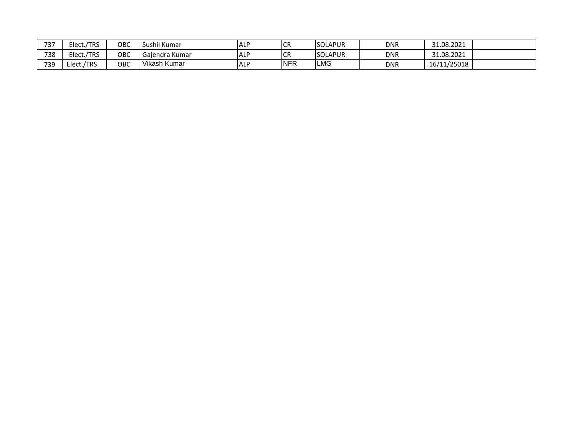| フつフ<br>: ت | /TRS<br>Elect., | OBC | ે il Kumar<br>Sushil     | <b>ALP</b> | <b>CR</b>  | <b>SOLAPUR</b>  | <b>DNR</b> | 31.08.2021  |  |
|------------|-----------------|-----|--------------------------|------------|------------|-----------------|------------|-------------|--|
| 738        | /TRS<br>Elect.  | ОВС | $\sim$<br>Gaiendra Kumar | <b>ALP</b> | <b>ICR</b> | <b>ISOLAPUR</b> | <b>DNR</b> | 31.08.2021  |  |
| 739        | /TRS<br>Elect., | OBC | Vikash Kumar             | <b>ALP</b> | <b>NFR</b> | LMG             | <b>DNR</b> | 16/11/25018 |  |